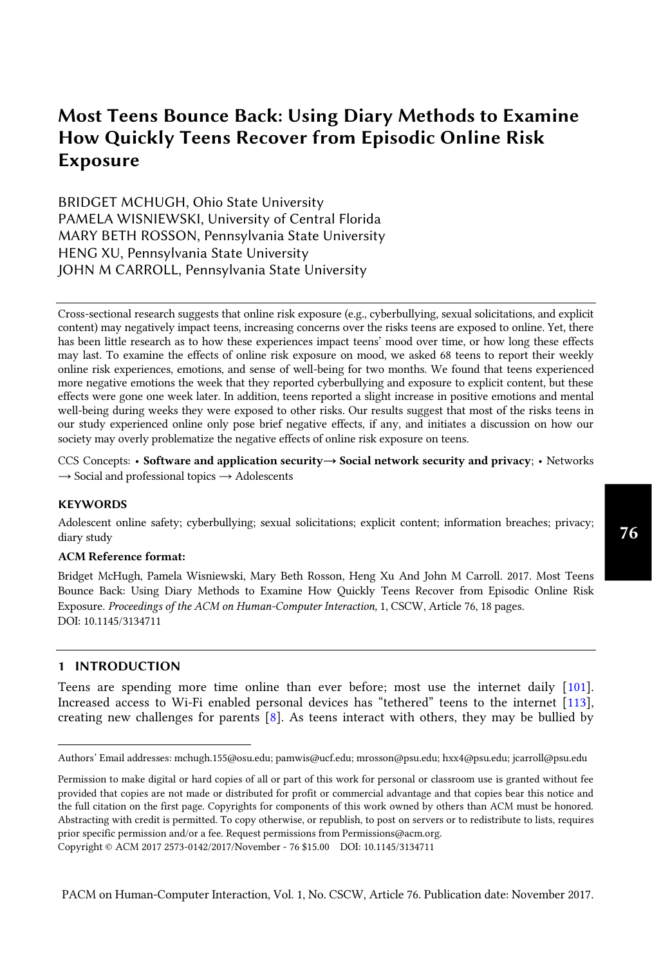BRIDGET MCHUGH, Ohio State University PAMELA WISNIEWSKI, University of Central Florida MARY BETH ROSSON, Pennsylvania State University HENG XU, Pennsylvania State University JOHN M CARROLL, Pennsylvania State University

Cross-sectional research suggests that online risk exposure (e.g., cyberbullying, sexual solicitations, and explicit content) may negatively impact teens, increasing concerns over the risks teens are exposed to online. Yet, there has been little research as to how these experiences impact teens' mood over time, or how long these effects may last. To examine the effects of online risk exposure on mood, we asked 68 teens to report their weekly online risk experiences, emotions, and sense of well-being for two months. We found that teens experienced more negative emotions the week that they reported cyberbullying and exposure to explicit content, but these effects were gone one week later. In addition, teens reported a slight increase in positive emotions and mental well-being during weeks they were exposed to other risks. Our results suggest that most of the risks teens in our study experienced online only pose brief negative effects, if any, and initiates a discussion on how our society may overly problematize the negative effects of online risk exposure on teens.

CCS Concepts: • **Software and application security→ Social network security and privacy**; • Networks  $\rightarrow$  Social and professional topics  $\rightarrow$  Adolescents

#### **KEYWORDS**

Adolescent online safety; cyberbullying; sexual solicitations; explicit content; information breaches; privacy; diary study

#### **ACM Reference format:**

Bridget McHugh, Pamela Wisniewski, Mary Beth Rosson, Heng Xu And John M Carroll. 2017. Most Teens Bounce Back: Using Diary Methods to Examine How Quickly Teens Recover from Episodic Online Risk Exposure. *Proceedings of the ACM on Human-Computer Interaction,* 1, CSCW, Article 76, 18 pages. DOI: 10.1145/3134711

#### **1 INTRODUCTION**

 $\overline{a}$ 

Teens are spending more time online than ever before; most use the internet daily [\[101\]](#page-17-0). Increased access to Wi-Fi enabled personal devices has "tethered" teens to the internet [[113\]](#page-17-1), creating new challenges for parents [\[8\]](#page-13-0). As teens interact with others, they may be bullied by

Authors' Email addresses: mchugh.155@osu.edu; pamwis@ucf.edu; mrosson@psu.edu; hxx4@psu.edu; jcarroll@psu.edu

Permission to make digital or hard copies of all or part of this work for personal or classroom use is granted without fee provided that copies are not made or distributed for profit or commercial advantage and that copies bear this notice and the full citation on the first page. Copyrights for components of this work owned by others than ACM must be honored. Abstracting with credit is permitted. To copy otherwise, or republish, to post on servers or to redistribute to lists, requires prior specific permission and/or a fee. Request permissions from Permissions@acm.org.

Copyright © ACM 2017 2573-0142/2017/November - 76 \$15.00 DOI: 10.1145/3134711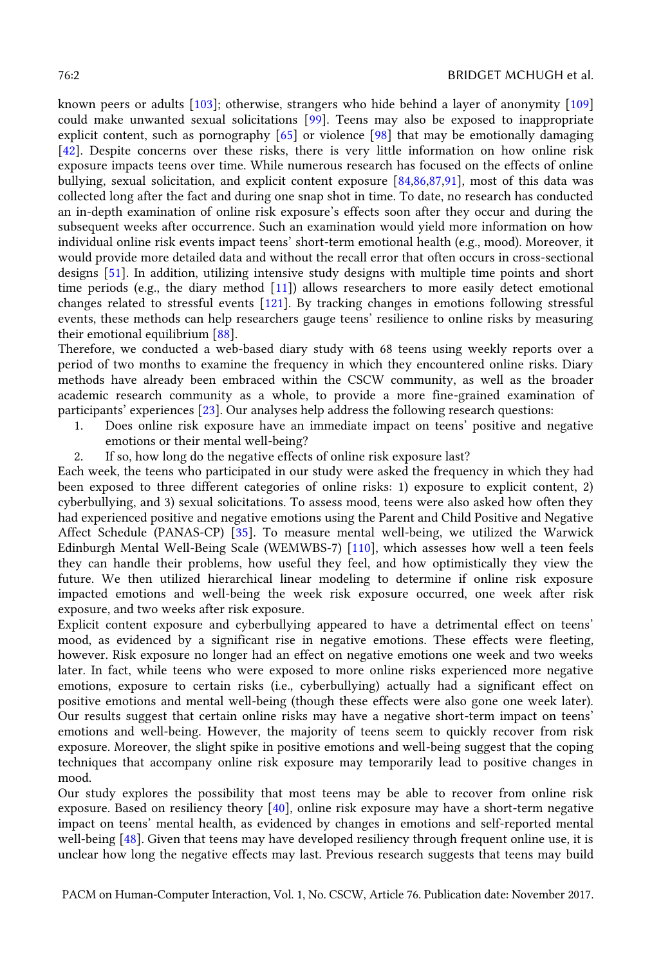known peers or adults [\[103\]](#page-17-2); otherwise, strangers who hide behind a layer of anonymity [\[109\]](#page-17-3) could make unwanted sexual solicitations [\[99\]](#page-16-0). Teens may also be exposed to inappropriate explicit content, such as pornography [\[65\]](#page-15-0) or violence [\[98\]](#page-16-1) that may be emotionally damaging [\[42\]](#page-14-0). Despite concerns over these risks, there is very little information on how online risk exposure impacts teens over time. While numerous research has focused on the effects of online bullying, sexual solicitation, and explicit content exposure [\[84](#page-16-2)[,86,](#page-16-3)[87](#page-16-4)[,91\]](#page-16-5), most of this data was collected long after the fact and during one snap shot in time. To date, no research has conducted an in-depth examination of online risk exposure's effects soon after they occur and during the subsequent weeks after occurrence. Such an examination would yield more information on how individual online risk events impact teens' short-term emotional health (e.g., mood). Moreover, it would provide more detailed data and without the recall error that often occurs in cross-sectional designs [\[51\]](#page-15-1). In addition, utilizing intensive study designs with multiple time points and short time periods (e.g., the diary method [\[11\]](#page-13-1)) allows researchers to more easily detect emotional changes related to stressful events [\[121\]](#page-17-4). By tracking changes in emotions following stressful events, these methods can help researchers gauge teens' resilience to online risks by measuring their emotional equilibrium [\[88\]](#page-16-6).

Therefore, we conducted a web-based diary study with 68 teens using weekly reports over a period of two months to examine the frequency in which they encountered online risks. Diary methods have already been embraced within the CSCW community, as well as the broader academic research community as a whole, to provide a more fine-grained examination of participants' experiences [[23\]](#page-13-2). Our analyses help address the following research questions:

- 1. Does online risk exposure have an immediate impact on teens' positive and negative emotions or their mental well-being?
- 2. If so, how long do the negative effects of online risk exposure last?

Each week, the teens who participated in our study were asked the frequency in which they had been exposed to three different categories of online risks: 1) exposure to explicit content, 2) cyberbullying, and 3) sexual solicitations. To assess mood, teens were also asked how often they had experienced positive and negative emotions using the Parent and Child Positive and Negative Affect Schedule (PANAS-CP) [\[35\]](#page-14-1). To measure mental well-being, we utilized the Warwick Edinburgh Mental Well-Being Scale (WEMWBS-7) [\[110\]](#page-17-5), which assesses how well a teen feels they can handle their problems, how useful they feel, and how optimistically they view the future. We then utilized hierarchical linear modeling to determine if online risk exposure impacted emotions and well-being the week risk exposure occurred, one week after risk exposure, and two weeks after risk exposure.

Explicit content exposure and cyberbullying appeared to have a detrimental effect on teens' mood, as evidenced by a significant rise in negative emotions. These effects were fleeting, however. Risk exposure no longer had an effect on negative emotions one week and two weeks later. In fact, while teens who were exposed to more online risks experienced more negative emotions, exposure to certain risks (i.e., cyberbullying) actually had a significant effect on positive emotions and mental well-being (though these effects were also gone one week later). Our results suggest that certain online risks may have a negative short-term impact on teens' emotions and well-being. However, the majority of teens seem to quickly recover from risk exposure. Moreover, the slight spike in positive emotions and well-being suggest that the coping techniques that accompany online risk exposure may temporarily lead to positive changes in mood.

Our study explores the possibility that most teens may be able to recover from online risk exposure. Based on resiliency theory  $[40]$ , online risk exposure may have a short-term negative impact on teens' mental health, as evidenced by changes in emotions and self-reported mental well-being [\[48\]](#page-14-3). Given that teens may have developed resiliency through frequent online use, it is unclear how long the negative effects may last. Previous research suggests that teens may build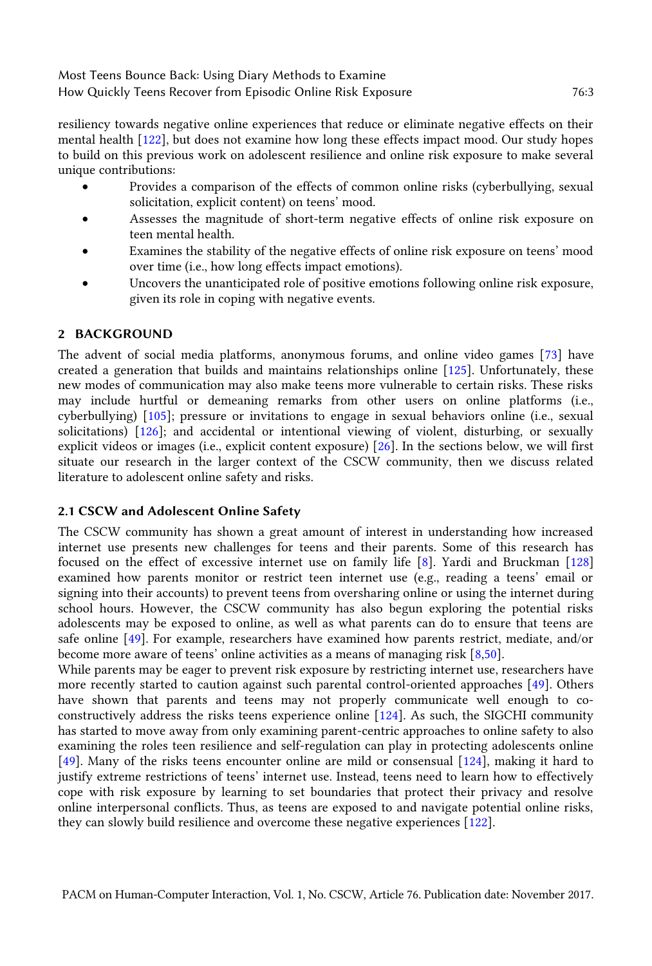resiliency towards negative online experiences that reduce or eliminate negative effects on their mental health [\[122\]](#page-17-6), but does not examine how long these effects impact mood. Our study hopes to build on this previous work on adolescent resilience and online risk exposure to make several unique contributions:

- Provides a comparison of the effects of common online risks (cyberbullying, sexual solicitation, explicit content) on teens' mood.
- Assesses the magnitude of short-term negative effects of online risk exposure on teen mental health.
- Examines the stability of the negative effects of online risk exposure on teens' mood over time (i.e., how long effects impact emotions).
- Uncovers the unanticipated role of positive emotions following online risk exposure, given its role in coping with negative events.

### **2 BACKGROUND**

The advent of social media platforms, anonymous forums, and online video games [\[73\]](#page-15-2) have created a generation that builds and maintains relationships online [\[125\]](#page-17-7). Unfortunately, these new modes of communication may also make teens more vulnerable to certain risks. These risks may include hurtful or demeaning remarks from other users on online platforms (i.e., cyberbullying) [\[105\]](#page-17-8); pressure or invitations to engage in sexual behaviors online (i.e., sexual solicitations) [\[126\]](#page-18-0); and accidental or intentional viewing of violent, disturbing, or sexually explicit videos or images (i.e., explicit content exposure) [\[26\]](#page-14-4). In the sections below, we will first situate our research in the larger context of the CSCW community, then we discuss related literature to adolescent online safety and risks.

#### **2.1 CSCW and Adolescent Online Safety**

The CSCW community has shown a great amount of interest in understanding how increased internet use presents new challenges for teens and their parents. Some of this research has focused on the effect of excessive internet use on family life [\[8\]](#page-13-0). Yardi and Bruckman [\[128\]](#page-18-1) examined how parents monitor or restrict teen internet use (e.g., reading a teens' email or signing into their accounts) to prevent teens from oversharing online or using the internet during school hours. However, the CSCW community has also begun exploring the potential risks adolescents may be exposed to online, as well as what parents can do to ensure that teens are safe online [\[49\]](#page-15-3). For example, researchers have examined how parents restrict, mediate, and/or become more aware of teens' online activities as a means of managing risk [[8](#page-13-0)[,50\]](#page-15-4).

While parents may be eager to prevent risk exposure by restricting internet use, researchers have more recently started to caution against such parental control-oriented approaches [\[49\]](#page-15-3). Others have shown that parents and teens may not properly communicate well enough to coconstructively address the risks teens experience online [\[124\]](#page-17-9). As such, the SIGCHI community has started to move away from only examining parent-centric approaches to online safety to also examining the roles teen resilience and self-regulation can play in protecting adolescents online [\[49\]](#page-15-3). Many of the risks teens encounter online are mild or consensual [\[124\]](#page-17-9), making it hard to justify extreme restrictions of teens' internet use. Instead, teens need to learn how to effectively cope with risk exposure by learning to set boundaries that protect their privacy and resolve online interpersonal conflicts. Thus, as teens are exposed to and navigate potential online risks, they can slowly build resilience and overcome these negative experiences [\[122\]](#page-17-6).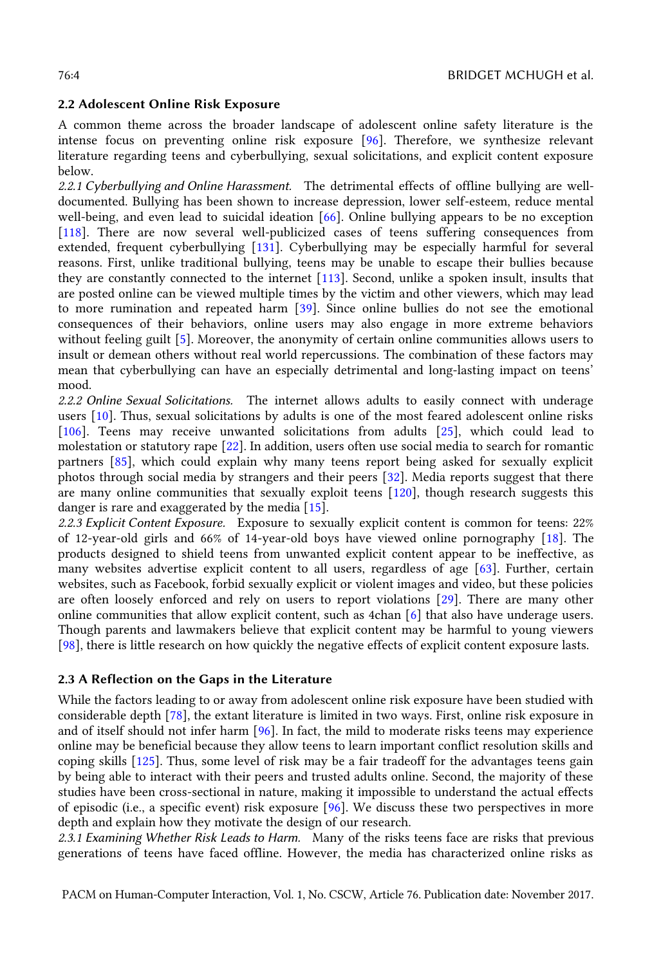#### **2.2 Adolescent Online Risk Exposure**

A common theme across the broader landscape of adolescent online safety literature is the intense focus on preventing online risk exposure [\[96\]](#page-16-7). Therefore, we synthesize relevant literature regarding teens and cyberbullying, sexual solicitations, and explicit content exposure below.

*2.2.1 Cyberbullying and Online Harassment.* The detrimental effects of offline bullying are welldocumented. Bullying has been shown to increase depression, lower self-esteem, reduce mental well-being, and even lead to suicidal ideation [\[66\]](#page-15-5). Online bullying appears to be no exception [\[118\]](#page-17-10). There are now several well-publicized cases of teens suffering consequences from extended, frequent cyberbullying [\[131\]](#page-18-2). Cyberbullying may be especially harmful for several reasons. First, unlike traditional bullying, teens may be unable to escape their bullies because they are constantly connected to the internet [\[113\]](#page-17-1). Second, unlike a spoken insult, insults that are posted online can be viewed multiple times by the victim and other viewers, which may lead to more rumination and repeated harm [\[39\]](#page-14-5). Since online bullies do not see the emotional consequences of their behaviors, online users may also engage in more extreme behaviors without feeling guilt [\[5\]](#page-13-3). Moreover, the anonymity of certain online communities allows users to insult or demean others without real world repercussions. The combination of these factors may mean that cyberbullying can have an especially detrimental and long-lasting impact on teens' mood.

*2.2.2 Online Sexual Solicitations.* The internet allows adults to easily connect with underage users [\[10\]](#page-13-4). Thus, sexual solicitations by adults is one of the most feared adolescent online risks [\[106\]](#page-17-11). Teens may receive unwanted solicitations from adults [\[25\]](#page-14-6), which could lead to molestation or statutory rape [\[22\]](#page-13-5). In addition, users often use social media to search for romantic partners [\[85\]](#page-16-8), which could explain why many teens report being asked for sexually explicit photos through social media by strangers and their peers [\[32\]](#page-14-7). Media reports suggest that there are many online communities that sexually exploit teens [\[120\]](#page-17-12), though research suggests this danger is rare and exaggerated by the media [\[15\]](#page-13-6).

*2.2.3 Explicit Content Exposure.* Exposure to sexually explicit content is common for teens: 22% of 12-year-old girls and 66% of 14-year-old boys have viewed online pornography [\[18\]](#page-13-7). The products designed to shield teens from unwanted explicit content appear to be ineffective, as many websites advertise explicit content to all users, regardless of age [\[63\]](#page-15-6). Further, certain websites, such as Facebook, forbid sexually explicit or violent images and video, but these policies are often loosely enforced and rely on users to report violations [\[29\]](#page-14-8). There are many other online communities that allow explicit content, such as 4chan [\[6\]](#page-13-8) that also have underage users. Though parents and lawmakers believe that explicit content may be harmful to young viewers [\[98\]](#page-16-1), there is little research on how quickly the negative effects of explicit content exposure lasts.

#### **2.3 A Reflection on the Gaps in the Literature**

While the factors leading to or away from adolescent online risk exposure have been studied with considerable depth [\[78\]](#page-16-9), the extant literature is limited in two ways. First, online risk exposure in and of itself should not infer harm [\[96\]](#page-16-7). In fact, the mild to moderate risks teens may experience online may be beneficial because they allow teens to learn important conflict resolution skills and coping skills [\[125\]](#page-17-7). Thus, some level of risk may be a fair tradeoff for the advantages teens gain by being able to interact with their peers and trusted adults online. Second, the majority of these studies have been cross-sectional in nature, making it impossible to understand the actual effects of episodic (i.e., a specific event) risk exposure [\[96\]](#page-16-7). We discuss these two perspectives in more depth and explain how they motivate the design of our research.

*2.3.1 Examining Whether Risk Leads to Harm.* Many of the risks teens face are risks that previous generations of teens have faced offline. However, the media has characterized online risks as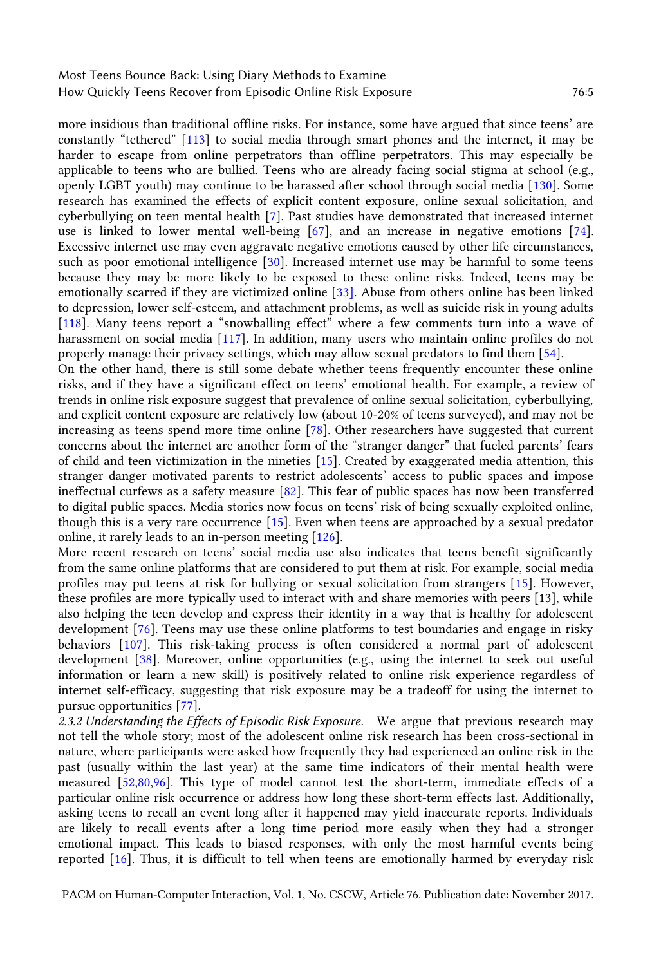more insidious than traditional offline risks. For instance, some have argued that since teens' are constantly "tethered" [[113\]](#page-17-1) to social media through smart phones and the internet, it may be harder to escape from online perpetrators than offline perpetrators. This may especially be applicable to teens who are bullied. Teens who are already facing social stigma at school (e.g., openly LGBT youth) may continue to be harassed after school through social media [\[130\]](#page-18-3). Some research has examined the effects of explicit content exposure, online sexual solicitation, and cyberbullying on teen mental health [\[7\]](#page-13-9). Past studies have demonstrated that increased internet use is linked to lower mental well-being [\[67\]](#page-15-7), and an increase in negative emotions [\[74\]](#page-15-8). Excessive internet use may even aggravate negative emotions caused by other life circumstances, such as poor emotional intelligence [\[30\]](#page-14-9). Increased internet use may be harmful to some teens because they may be more likely to be exposed to these online risks. Indeed, teens may be emotionally scarred if they are victimized online [\[33\]](#page-14-10). Abuse from others online has been linked to depression, lower self-esteem, and attachment problems, as well as suicide risk in young adults [\[118\]](#page-17-10). Many teens report a "snowballing effect" where a few comments turn into a wave of harassment on social media [\[117\]](#page-17-13). In addition, many users who maintain online profiles do not properly manage their privacy settings, which may allow sexual predators to find them [\[54\]](#page-15-9).

On the other hand, there is still some debate whether teens frequently encounter these online risks, and if they have a significant effect on teens' emotional health. For example, a review of trends in online risk exposure suggest that prevalence of online sexual solicitation, cyberbullying, and explicit content exposure are relatively low (about 10-20% of teens surveyed), and may not be increasing as teens spend more time online [\[78\]](#page-16-9). Other researchers have suggested that current concerns about the internet are another form of the "stranger danger" that fueled parents' fears of child and teen victimization in the nineties [\[15\]](#page-13-6). Created by exaggerated media attention, this stranger danger motivated parents to restrict adolescents' access to public spaces and impose ineffectual curfews as a safety measure [\[82\]](#page-16-10). This fear of public spaces has now been transferred to digital public spaces. Media stories now focus on teens' risk of being sexually exploited online, though this is a very rare occurrence [\[15\]](#page-13-6). Even when teens are approached by a sexual predator online, it rarely leads to an in-person meeting [\[126\]](#page-18-0).

More recent research on teens' social media use also indicates that teens benefit significantly from the same online platforms that are considered to put them at risk. For example, social media profiles may put teens at risk for bullying or sexual solicitation from strangers [\[15\]](#page-13-6). However, these profiles are more typically used to interact with and share memories with peers [13], while also helping the teen develop and express their identity in a way that is healthy for adolescent development [\[76\]](#page-16-11). Teens may use these online platforms to test boundaries and engage in risky behaviors [\[107\]](#page-17-14). This risk-taking process is often considered a normal part of adolescent development [\[38\]](#page-14-11). Moreover, online opportunities (e.g., using the internet to seek out useful information or learn a new skill) is positively related to online risk experience regardless of internet self-efficacy, suggesting that risk exposure may be a tradeoff for using the internet to pursue opportunities [\[77\]](#page-16-12).

*2.3.2 Understanding the Effects of Episodic Risk Exposure.* We argue that previous research may not tell the whole story; most of the adolescent online risk research has been cross-sectional in nature, where participants were asked how frequently they had experienced an online risk in the past (usually within the last year) at the same time indicators of their mental health were measured [\[52,](#page-15-10)[80](#page-16-13)[,96\]](#page-16-7). This type of model cannot test the short-term, immediate effects of a particular online risk occurrence or address how long these short-term effects last. Additionally, asking teens to recall an event long after it happened may yield inaccurate reports. Individuals are likely to recall events after a long time period more easily when they had a stronger emotional impact. This leads to biased responses, with only the most harmful events being reported [\[16\]](#page-13-10). Thus, it is difficult to tell when teens are emotionally harmed by everyday risk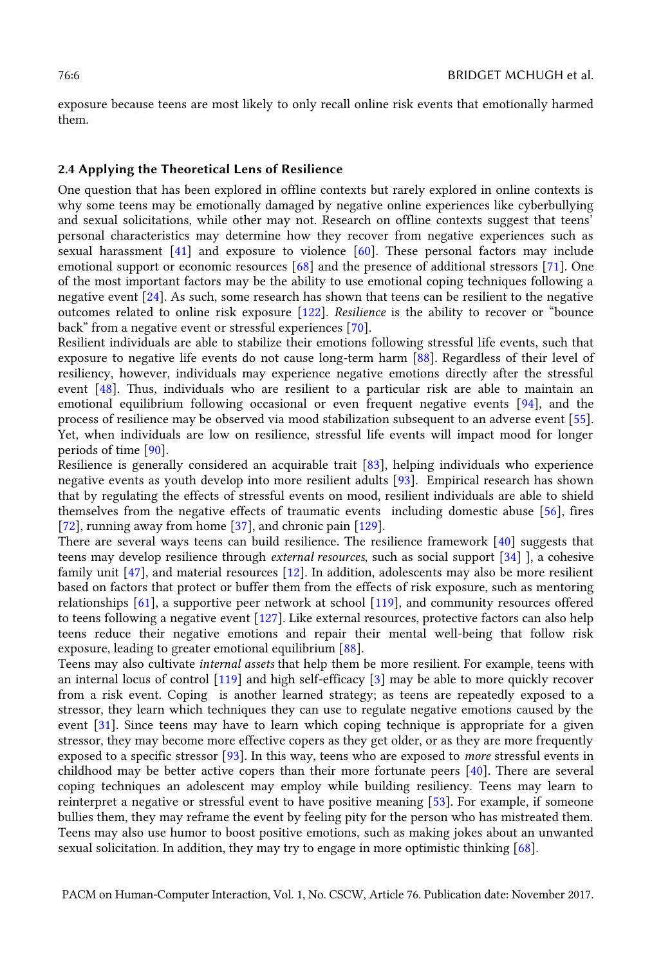exposure because teens are most likely to only recall online risk events that emotionally harmed them.

#### **2.4 Applying the Theoretical Lens of Resilience**

One question that has been explored in offline contexts but rarely explored in online contexts is why some teens may be emotionally damaged by negative online experiences like cyberbullying and sexual solicitations, while other may not. Research on offline contexts suggest that teens' personal characteristics may determine how they recover from negative experiences such as sexual harassment [\[41\]](#page-14-12) and exposure to violence [\[60\]](#page-15-11). These personal factors may include emotional support or economic resources [\[68\]](#page-15-12) and the presence of additional stressors [\[71\]](#page-15-13). One of the most important factors may be the ability to use emotional coping techniques following a negative event [\[24\]](#page-14-13). As such, some research has shown that teens can be resilient to the negative outcomes related to online risk exposure [\[122\]](#page-17-6). *Resilience* is the ability to recover or "bounce back" from a negative event or stressful experiences [[70\]](#page-15-14).

Resilient individuals are able to stabilize their emotions following stressful life events, such that exposure to negative life events do not cause long-term harm [\[88\]](#page-16-6). Regardless of their level of resiliency, however, individuals may experience negative emotions directly after the stressful event [\[48\]](#page-14-3). Thus, individuals who are resilient to a particular risk are able to maintain an emotional equilibrium following occasional or even frequent negative events [\[94\]](#page-16-14), and the process of resilience may be observed via mood stabilization subsequent to an adverse event [\[55\]](#page-15-15). Yet, when individuals are low on resilience, stressful life events will impact mood for longer periods of time [\[90\]](#page-16-15).

Resilience is generally considered an acquirable trait [\[83\]](#page-16-16), helping individuals who experience negative events as youth develop into more resilient adults [\[93\]](#page-16-17). Empirical research has shown that by regulating the effects of stressful events on mood, resilient individuals are able to shield themselves from the negative effects of traumatic events including domestic abuse [\[56\]](#page-15-16), fires [\[72\]](#page-15-17), running away from home [\[37\]](#page-14-14), and chronic pain [\[129\]](#page-18-4).

There are several ways teens can build resilience. The resilience framework [\[40\]](#page-14-2) suggests that teens may develop resilience through *external resources*, such as social support [\[34\]](#page-14-15) ], a cohesive family unit [\[47\]](#page-14-16), and material resources [\[12\]](#page-13-11). In addition, adolescents may also be more resilient based on factors that protect or buffer them from the effects of risk exposure, such as mentoring relationships [\[61\]](#page-15-18), a supportive peer network at school [\[119\]](#page-17-15), and community resources offered to teens following a negative event [\[127\]](#page-18-5). Like external resources, protective factors can also help teens reduce their negative emotions and repair their mental well-being that follow risk exposure, leading to greater emotional equilibrium [\[88\]](#page-16-6).

Teens may also cultivate *internal assets* that help them be more resilient. For example, teens with an internal locus of control [\[119\]](#page-17-15) and high self-efficacy [\[3\]](#page-13-12) may be able to more quickly recover from a risk event. Coping is another learned strategy; as teens are repeatedly exposed to a stressor, they learn which techniques they can use to regulate negative emotions caused by the event [\[31\]](#page-14-17). Since teens may have to learn which coping technique is appropriate for a given stressor, they may become more effective copers as they get older, or as they are more frequently exposed to a specific stressor [\[93\]](#page-16-17). In this way, teens who are exposed to *more* stressful events in childhood may be better active copers than their more fortunate peers [\[40\]](#page-14-2). There are several coping techniques an adolescent may employ while building resiliency. Teens may learn to reinterpret a negative or stressful event to have positive meaning [\[53\]](#page-15-19). For example, if someone bullies them, they may reframe the event by feeling pity for the person who has mistreated them. Teens may also use humor to boost positive emotions, such as making jokes about an unwanted sexual solicitation. In addition, they may try to engage in more optimistic thinking [\[68\]](#page-15-12).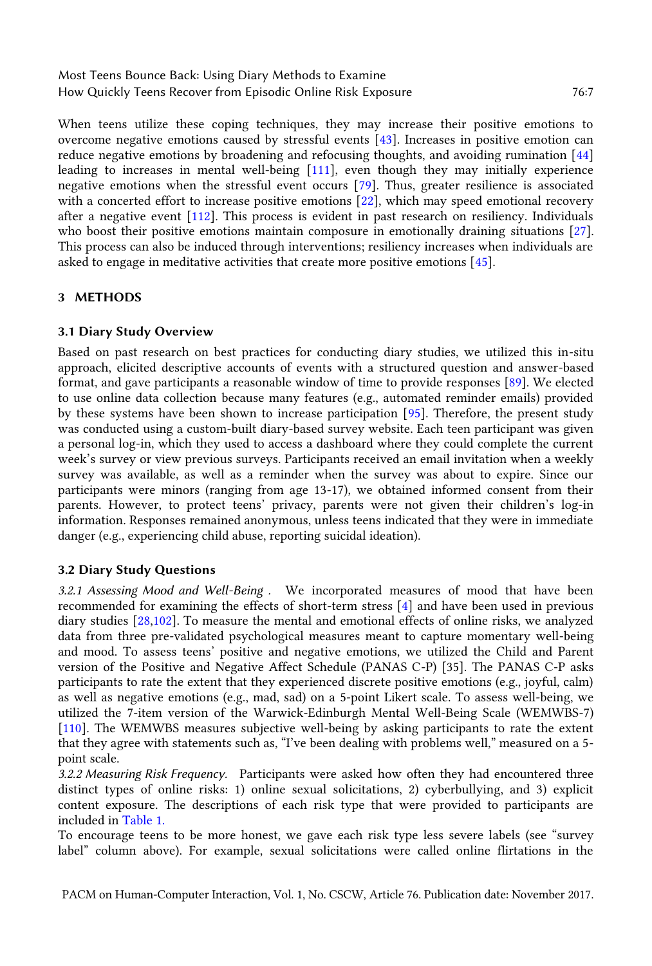When teens utilize these coping techniques, they may increase their positive emotions to overcome negative emotions caused by stressful events [\[43\]](#page-14-18). Increases in positive emotion can reduce negative emotions by broadening and refocusing thoughts, and avoiding rumination [\[44\]](#page-14-19) leading to increases in mental well-being [\[111\]](#page-17-16), even though they may initially experience negative emotions when the stressful event occurs [\[79\]](#page-16-18). Thus, greater resilience is associated with a concerted effort to increase positive emotions [\[22\]](#page-13-5), which may speed emotional recovery after a negative event [\[112\]](#page-17-17). This process is evident in past research on resiliency. Individuals who boost their positive emotions maintain composure in emotionally draining situations [\[27\]](#page-14-20). This process can also be induced through interventions; resiliency increases when individuals are asked to engage in meditative activities that create more positive emotions [\[45\]](#page-14-21).

# **3 METHODS**

### **3.1 Diary Study Overview**

Based on past research on best practices for conducting diary studies, we utilized this in-situ approach, elicited descriptive accounts of events with a structured question and answer-based format, and gave participants a reasonable window of time to provide responses [\[89\]](#page-16-19). We elected to use online data collection because many features (e.g., automated reminder emails) provided by these systems have been shown to increase participation [\[95\]](#page-16-20). Therefore, the present study was conducted using a custom-built diary-based survey website. Each teen participant was given a personal log-in, which they used to access a dashboard where they could complete the current week's survey or view previous surveys. Participants received an email invitation when a weekly survey was available, as well as a reminder when the survey was about to expire. Since our participants were minors (ranging from age 13-17), we obtained informed consent from their parents. However, to protect teens' privacy, parents were not given their children's log-in information. Responses remained anonymous, unless teens indicated that they were in immediate danger (e.g., experiencing child abuse, reporting suicidal ideation).

# **3.2 Diary Study Questions**

*3.2.1 Assessing Mood and Well-Being .* We incorporated measures of mood that have been recommended for examining the effects of short-term stress [\[4\]](#page-13-13) and have been used in previous diary studies [\[28](#page-14-22)[,102\]](#page-17-18). To measure the mental and emotional effects of online risks, we analyzed data from three pre-validated psychological measures meant to capture momentary well-being and mood. To assess teens' positive and negative emotions, we utilized the Child and Parent version of the Positive and Negative Affect Schedule (PANAS C-P) [35]. The PANAS C-P asks participants to rate the extent that they experienced discrete positive emotions (e.g., joyful, calm) as well as negative emotions (e.g., mad, sad) on a 5-point Likert scale. To assess well-being, we utilized the 7-item version of the Warwick-Edinburgh Mental Well-Being Scale (WEMWBS-7) [\[110\]](#page-17-5). The WEMWBS measures subjective well-being by asking participants to rate the extent that they agree with statements such as, "I've been dealing with problems well," measured on a 5 point scale.

*3.2.2 Measuring Risk Frequency.* Participants were asked how often they had encountered three distinct types of online risks: 1) online sexual solicitations, 2) cyberbullying, and 3) explicit content exposure. The descriptions of each risk type that were provided to participants are included in [Table 1.](#page-7-0)

To encourage teens to be more honest, we gave each risk type less severe labels (see "survey label" column above). For example, sexual solicitations were called online flirtations in the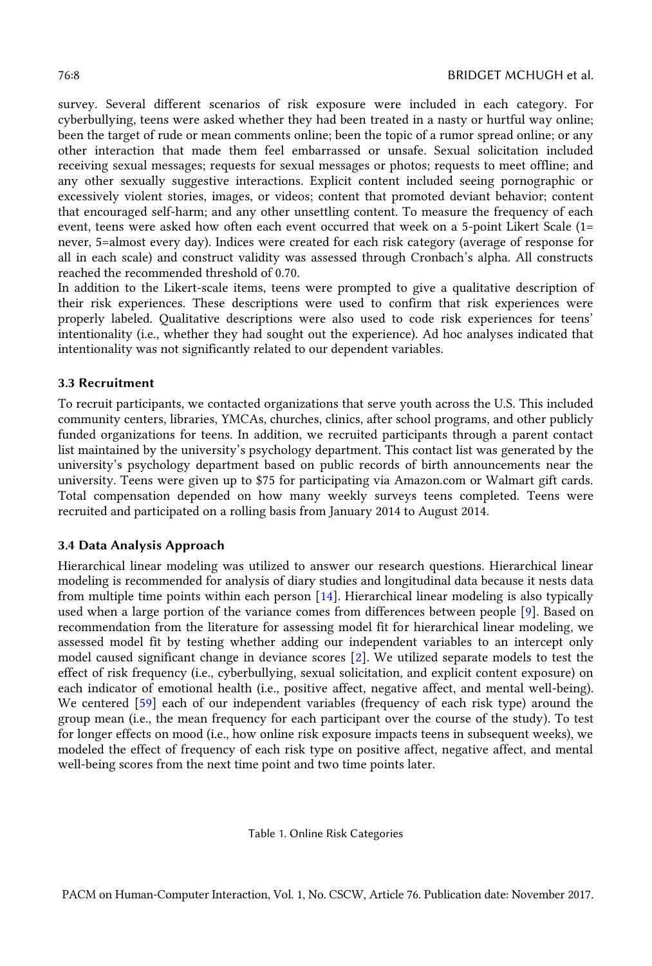survey. Several different scenarios of risk exposure were included in each category. For cyberbullying, teens were asked whether they had been treated in a nasty or hurtful way online; been the target of rude or mean comments online; been the topic of a rumor spread online; or any other interaction that made them feel embarrassed or unsafe. Sexual solicitation included receiving sexual messages; requests for sexual messages or photos; requests to meet offline; and any other sexually suggestive interactions. Explicit content included seeing pornographic or excessively violent stories, images, or videos; content that promoted deviant behavior; content that encouraged self-harm; and any other unsettling content. To measure the frequency of each event, teens were asked how often each event occurred that week on a 5-point Likert Scale (1= never, 5=almost every day). Indices were created for each risk category (average of response for all in each scale) and construct validity was assessed through Cronbach's alpha. All constructs reached the recommended threshold of 0.70.

In addition to the Likert-scale items, teens were prompted to give a qualitative description of their risk experiences. These descriptions were used to confirm that risk experiences were properly labeled. Qualitative descriptions were also used to code risk experiences for teens' intentionality (i.e., whether they had sought out the experience). Ad hoc analyses indicated that intentionality was not significantly related to our dependent variables.

#### **3.3 Recruitment**

To recruit participants, we contacted organizations that serve youth across the U.S. This included community centers, libraries, YMCAs, churches, clinics, after school programs, and other publicly funded organizations for teens. In addition, we recruited participants through a parent contact list maintained by the university's psychology department. This contact list was generated by the university's psychology department based on public records of birth announcements near the university. Teens were given up to \$75 for participating via Amazon.com or Walmart gift cards. Total compensation depended on how many weekly surveys teens completed. Teens were recruited and participated on a rolling basis from January 2014 to August 2014.

#### **3.4 Data Analysis Approach**

Hierarchical linear modeling was utilized to answer our research questions. Hierarchical linear modeling is recommended for analysis of diary studies and longitudinal data because it nests data from multiple time points within each person [\[14\]](#page-13-14). Hierarchical linear modeling is also typically used when a large portion of the variance comes from differences between people [\[9\]](#page-13-15). Based on recommendation from the literature for assessing model fit for hierarchical linear modeling, we assessed model fit by testing whether adding our independent variables to an intercept only model caused significant change in deviance scores [\[2\]](#page-13-16). We utilized separate models to test the effect of risk frequency (i.e., cyberbullying, sexual solicitation, and explicit content exposure) on each indicator of emotional health (i.e., positive affect, negative affect, and mental well-being). We centered [\[59\]](#page-15-20) each of our independent variables (frequency of each risk type) around the group mean (i.e., the mean frequency for each participant over the course of the study). To test for longer effects on mood (i.e., how online risk exposure impacts teens in subsequent weeks), we modeled the effect of frequency of each risk type on positive affect, negative affect, and mental well-being scores from the next time point and two time points later.

<span id="page-7-0"></span>Table 1. Online Risk Categories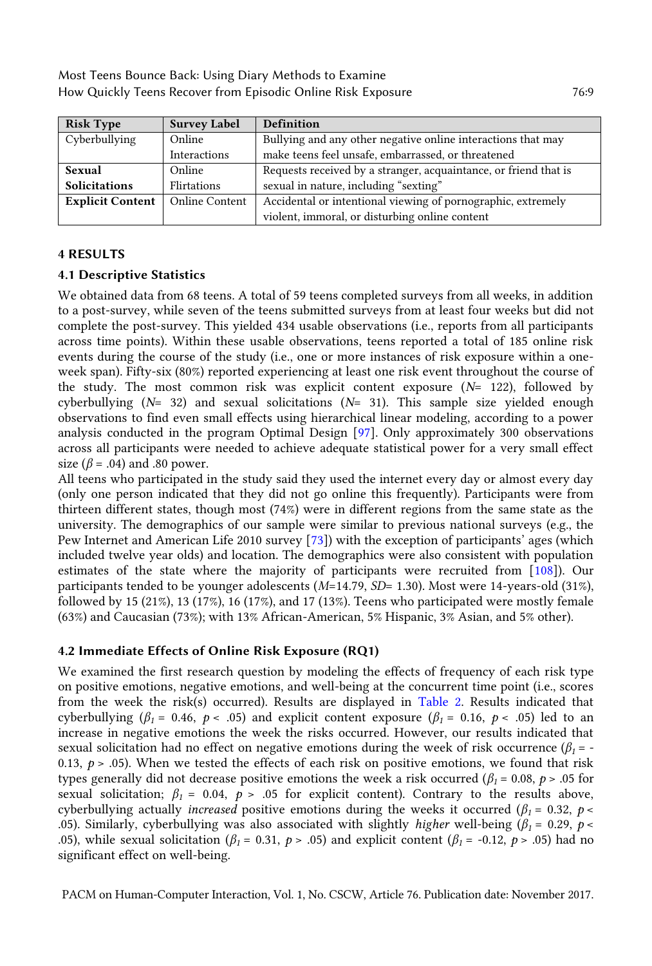| <b>Risk Type</b>        | <b>Survey Label</b>   | <b>Definition</b>                                                |  |  |  |  |  |  |  |
|-------------------------|-----------------------|------------------------------------------------------------------|--|--|--|--|--|--|--|
| Cyberbullying           | Online                | Bullying and any other negative online interactions that may     |  |  |  |  |  |  |  |
|                         | <b>Interactions</b>   | make teens feel unsafe, embarrassed, or threatened               |  |  |  |  |  |  |  |
| Sexual                  | Online                | Requests received by a stranger, acquaintance, or friend that is |  |  |  |  |  |  |  |
| <b>Solicitations</b>    | Flirtations           | sexual in nature, including "sexting"                            |  |  |  |  |  |  |  |
| <b>Explicit Content</b> | <b>Online Content</b> | Accidental or intentional viewing of pornographic, extremely     |  |  |  |  |  |  |  |
|                         |                       | violent, immoral, or disturbing online content                   |  |  |  |  |  |  |  |

### **4 RESULTS**

#### **4.1 Descriptive Statistics**

We obtained data from 68 teens. A total of 59 teens completed surveys from all weeks, in addition to a post-survey, while seven of the teens submitted surveys from at least four weeks but did not complete the post-survey. This yielded 434 usable observations (i.e., reports from all participants across time points). Within these usable observations, teens reported a total of 185 online risk events during the course of the study (i.e., one or more instances of risk exposure within a oneweek span). Fifty-six (80%) reported experiencing at least one risk event throughout the course of the study. The most common risk was explicit content exposure (*N*= 122), followed by cyberbullying (*N*= 32) and sexual solicitations (*N*= 31). This sample size yielded enough observations to find even small effects using hierarchical linear modeling, according to a power analysis conducted in the program Optimal Design [\[97\]](#page-16-21). Only approximately 300 observations across all participants were needed to achieve adequate statistical power for a very small effect size ( $\beta$  = .04) and .80 power.

All teens who participated in the study said they used the internet every day or almost every day (only one person indicated that they did not go online this frequently). Participants were from thirteen different states, though most (74%) were in different regions from the same state as the university. The demographics of our sample were similar to previous national surveys (e.g., the Pew Internet and American Life 2010 survey [\[73](#page-15-2)]) with the exception of participants' ages (which included twelve year olds) and location. The demographics were also consistent with population estimates of the state where the majority of participants were recruited from [\[108\]](#page-17-19)). Our participants tended to be younger adolescents (*M*=14.79, *SD*= 1.30). Most were 14-years-old (31%), followed by 15 (21%), 13 (17%), 16 (17%), and 17 (13%). Teens who participated were mostly female (63%) and Caucasian (73%); with 13% African-American, 5% Hispanic, 3% Asian, and 5% other).

# **4.2 Immediate Effects of Online Risk Exposure (RQ1)**

We examined the first research question by modeling the effects of frequency of each risk type on positive emotions, negative emotions, and well-being at the concurrent time point (i.e., scores from the week the risk(s) occurred). Results are displayed in [Table 2.](#page-9-0) Results indicated that cyberbullying ( $\beta_1 = 0.46$ ,  $p < .05$ ) and explicit content exposure ( $\beta_1 = 0.16$ ,  $p < .05$ ) led to an increase in negative emotions the week the risks occurred. However, our results indicated that sexual solicitation had no effect on negative emotions during the week of risk occurrence ( $\beta_1$  = -0.13,  $p > 0.05$ ). When we tested the effects of each risk on positive emotions, we found that risk types generally did not decrease positive emotions the week a risk occurred ( $\beta_1$  = 0.08,  $p > .05$  for sexual solicitation;  $\beta_1 = 0.04$ ,  $p > .05$  for explicit content). Contrary to the results above, cyberbullying actually *increased* positive emotions during the weeks it occurred ( $\beta_1$  = 0.32, *p* < .05). Similarly, cyberbullying was also associated with slightly *higher* well-being (*β<sup>1</sup>* = 0.29, *p* < .05), while sexual solicitation ( $\beta_1 = 0.31$ ,  $p > .05$ ) and explicit content ( $\beta_1 = -0.12$ ,  $p > .05$ ) had no significant effect on well-being.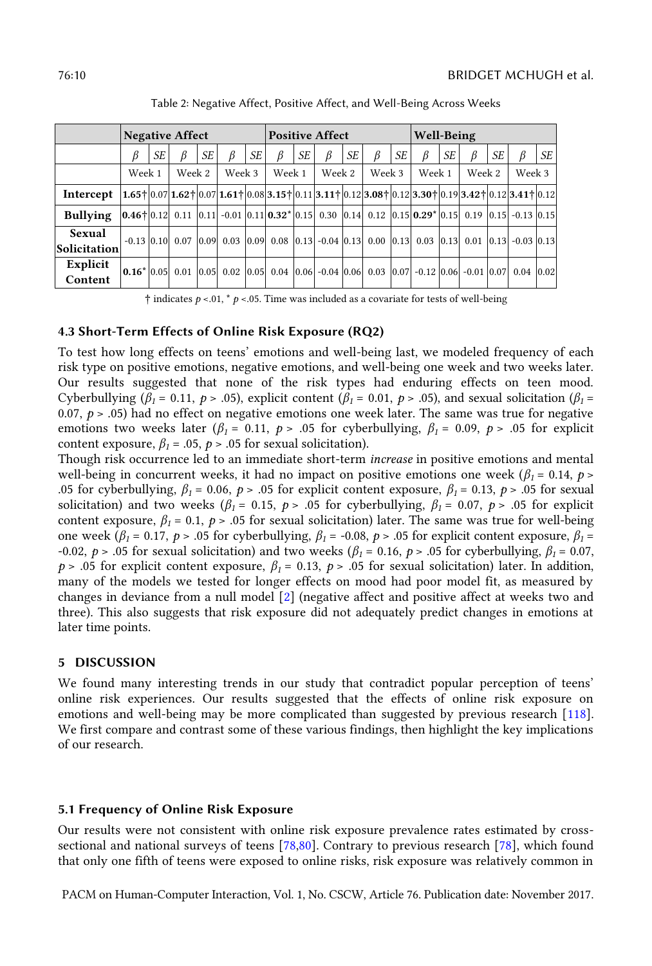<span id="page-9-0"></span>

|                        | <b>Negative Affect</b>                                                                                                                                                                                                                                                                                                                                        |    |        |    |        |    | <b>Positive Affect</b> |    |        |    |        |    | Well-Being |    |        |           |                                                                                                |      |
|------------------------|---------------------------------------------------------------------------------------------------------------------------------------------------------------------------------------------------------------------------------------------------------------------------------------------------------------------------------------------------------------|----|--------|----|--------|----|------------------------|----|--------|----|--------|----|------------|----|--------|-----------|------------------------------------------------------------------------------------------------|------|
|                        | ß                                                                                                                                                                                                                                                                                                                                                             | SE |        | SE | ß      | SE | ß                      | SE | ß      | SE | ß      | SE |            | SE | ß      | <b>SE</b> | ß                                                                                              | SE I |
|                        | Week 1                                                                                                                                                                                                                                                                                                                                                        |    | Week 2 |    | Week 3 |    | Week 1                 |    | Week 2 |    | Week 3 |    | Week 1     |    | Week 2 |           | Week 3                                                                                         |      |
| Intercept              | $\left  1.65 \right  \left  0.07 \right  1.62 \left  0.07 \right  1.61 \left  0.08 \right  3.15 \left  0.11 \right  3.11 \left  0.12 \right  3.08 \left  0.12 \right  3.30 \left  0.19 \right  3.42 \left  0.12 \right  3.41 \left  0.12 \right $                                                                                                             |    |        |    |        |    |                        |    |        |    |        |    |            |    |        |           |                                                                                                |      |
| <b>Bullying</b>        | $\vert 0.46 \dagger \vert 0.12 \vert 0.11 \vert 0.11 \vert -0.01 \vert 0.11 \vert 0.32 \dagger \vert 0.15 \vert 0.30 \vert 0.14 \vert 0.12 \vert 0.15 \vert 0.29 \dagger \vert 0.15 \vert 0.19 \vert 0.15 \vert -0.13 \vert 0.15 \vert$                                                                                                                       |    |        |    |        |    |                        |    |        |    |        |    |            |    |        |           |                                                                                                |      |
| Sexual<br>Solicitation |                                                                                                                                                                                                                                                                                                                                                               |    |        |    |        |    |                        |    |        |    |        |    |            |    |        |           | $-0.13$ 0.10 0.07 0.09 0.03 0.09 0.08 0.13 -0.04 0.13 0.00 0.13 0.03 0.13 0.01 0.13 -0.03 0.13 |      |
| Explicit<br>Content    | $\vert 0.16^* \vert 0.05 \vert 0.01 \vert 0.05 \vert 0.02 \vert 0.05 \vert 0.04 \vert 0.06 \vert -0.04 \vert 0.06 \vert 0.03 \vert 0.07 \vert -0.12 \vert 0.06 \vert -0.01 \vert 0.07 \vert 0.04 \vert 0.02 \vert 0.05 \vert 0.06 \vert 0.07 \vert 0.08 \vert 0.08 \vert 0.09 \vert 0.00 \vert 0.01 \vert 0.03 \vert 0.04 \vert 0.05 \vert 0.06 \vert 0.07 \$ |    |        |    |        |    |                        |    |        |    |        |    |            |    |        |           |                                                                                                |      |

Table 2: Negative Affect, Positive Affect, and Well-Being Across Weeks

**†** indicates *p* <.01, \* *p* <.05. Time was included as a covariate for tests of well-being

### **4.3 Short-Term Effects of Online Risk Exposure (RQ2)**

To test how long effects on teens' emotions and well-being last, we modeled frequency of each risk type on positive emotions, negative emotions, and well-being one week and two weeks later. Our results suggested that none of the risk types had enduring effects on teen mood. Cyberbullying ( $\beta_1 = 0.11$ ,  $p > .05$ ), explicit content ( $\beta_1 = 0.01$ ,  $p > .05$ ), and sexual solicitation ( $\beta_1 =$ 0.07,  $p > .05$ ) had no effect on negative emotions one week later. The same was true for negative emotions two weeks later ( $\beta_1 = 0.11$ ,  $p > .05$  for cyberbullying,  $\beta_1 = 0.09$ ,  $p > .05$  for explicit content exposure,  $\beta_1$  = .05,  $p > .05$  for sexual solicitation).

Though risk occurrence led to an immediate short-term *increase* in positive emotions and mental well-being in concurrent weeks, it had no impact on positive emotions one week ( $\beta_1$  = 0.14, *p* > .05 for cyberbullying,  $\beta_1 = 0.06$ ,  $p > .05$  for explicit content exposure,  $\beta_1 = 0.13$ ,  $p > .05$  for sexual solicitation) and two weeks ( $\beta_1 = 0.15$ ,  $p > 0.05$  for cyberbullying,  $\beta_1 = 0.07$ ,  $p > 0.05$  for explicit content exposure,  $\beta_1 = 0.1$ ,  $p > .05$  for sexual solicitation) later. The same was true for well-being one week (*β*<sub>*1*</sub> = 0.17, *p* > .05 for cyberbullying, *β*<sub>*1*</sub> = -0.08, *p* > .05 for explicit content exposure, *β*<sub>*1*</sub> = -0.02, *p* > .05 for sexual solicitation) and two weeks (*β<sup>1</sup>* = 0.16, *p* > .05 for cyberbullying, *β<sup>1</sup>* = 0.07, *p* > .05 for explicit content exposure,  $\beta_1 = 0.13$ , *p* > .05 for sexual solicitation) later. In addition, many of the models we tested for longer effects on mood had poor model fit, as measured by changes in deviance from a null model [\[2\]](#page-13-16) (negative affect and positive affect at weeks two and three). This also suggests that risk exposure did not adequately predict changes in emotions at later time points.

#### **5 DISCUSSION**

We found many interesting trends in our study that contradict popular perception of teens' online risk experiences. Our results suggested that the effects of online risk exposure on emotions and well-being may be more complicated than suggested by previous research [\[118\]](#page-17-10). We first compare and contrast some of these various findings, then highlight the key implications of our research.

#### **5.1 Frequency of Online Risk Exposure**

Our results were not consistent with online risk exposure prevalence rates estimated by crosssectional and national surveys of teens [\[78,](#page-16-9)[80\]](#page-16-13). Contrary to previous research [\[78\]](#page-16-9), which found that only one fifth of teens were exposed to online risks, risk exposure was relatively common in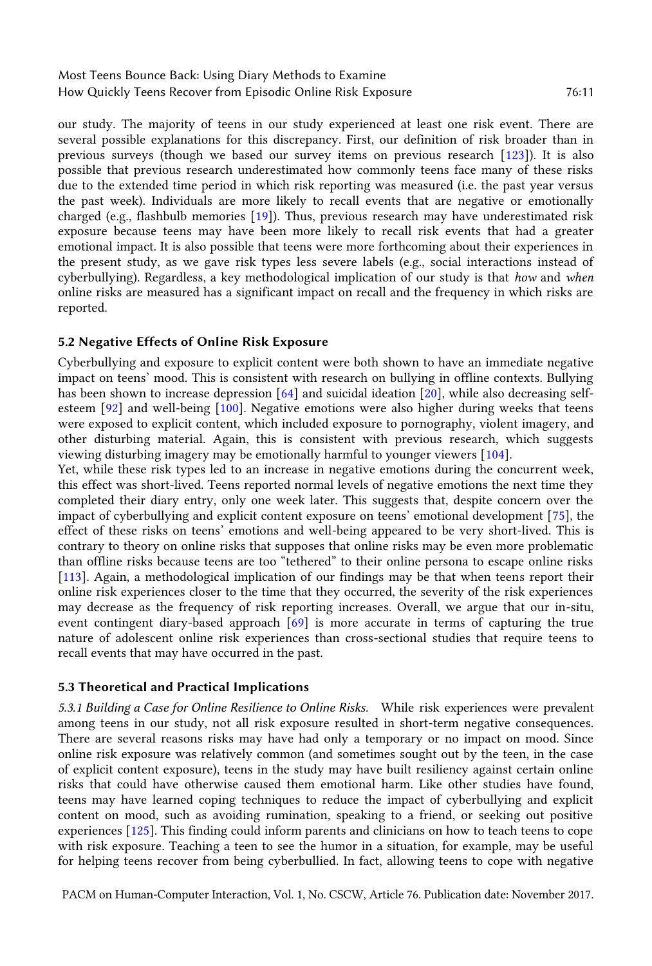our study. The majority of teens in our study experienced at least one risk event. There are several possible explanations for this discrepancy. First, our definition of risk broader than in previous surveys (though we based our survey items on previous research [\[123\]](#page-17-20)). It is also possible that previous research underestimated how commonly teens face many of these risks due to the extended time period in which risk reporting was measured (i.e. the past year versus the past week). Individuals are more likely to recall events that are negative or emotionally charged (e.g., flashbulb memories [\[19\]](#page-13-17)). Thus, previous research may have underestimated risk exposure because teens may have been more likely to recall risk events that had a greater emotional impact. It is also possible that teens were more forthcoming about their experiences in the present study, as we gave risk types less severe labels (e.g., social interactions instead of cyberbullying). Regardless, a key methodological implication of our study is that *how* and *when* online risks are measured has a significant impact on recall and the frequency in which risks are reported.

#### **5.2 Negative Effects of Online Risk Exposure**

Cyberbullying and exposure to explicit content were both shown to have an immediate negative impact on teens' mood. This is consistent with research on bullying in offline contexts. Bullying has been shown to increase depression [\[64\]](#page-15-21) and suicidal ideation [\[20\]](#page-13-18), while also decreasing selfesteem [\[92\]](#page-16-22) and well-being [\[100\]](#page-17-21). Negative emotions were also higher during weeks that teens were exposed to explicit content, which included exposure to pornography, violent imagery, and other disturbing material. Again, this is consistent with previous research, which suggests viewing disturbing imagery may be emotionally harmful to younger viewers [\[104\]](#page-17-22).

Yet, while these risk types led to an increase in negative emotions during the concurrent week, this effect was short-lived. Teens reported normal levels of negative emotions the next time they completed their diary entry, only one week later. This suggests that, despite concern over the impact of cyberbullying and explicit content exposure on teens' emotional development [[75\]](#page-16-23), the effect of these risks on teens' emotions and well-being appeared to be very short-lived. This is contrary to theory on online risks that supposes that online risks may be even more problematic than offline risks because teens are too "tethered" to their online persona to escape online risks [\[113\]](#page-17-1). Again, a methodological implication of our findings may be that when teens report their online risk experiences closer to the time that they occurred, the severity of the risk experiences may decrease as the frequency of risk reporting increases. Overall, we argue that our in-situ, event contingent diary-based approach [\[69\]](#page-15-22) is more accurate in terms of capturing the true nature of adolescent online risk experiences than cross-sectional studies that require teens to recall events that may have occurred in the past.

#### **5.3 Theoretical and Practical Implications**

*5.3.1 Building a Case for Online Resilience to Online Risks.* While risk experiences were prevalent among teens in our study, not all risk exposure resulted in short-term negative consequences. There are several reasons risks may have had only a temporary or no impact on mood. Since online risk exposure was relatively common (and sometimes sought out by the teen, in the case of explicit content exposure), teens in the study may have built resiliency against certain online risks that could have otherwise caused them emotional harm. Like other studies have found, teens may have learned coping techniques to reduce the impact of cyberbullying and explicit content on mood, such as avoiding rumination, speaking to a friend, or seeking out positive experiences [\[125\]](#page-17-7). This finding could inform parents and clinicians on how to teach teens to cope with risk exposure. Teaching a teen to see the humor in a situation, for example, may be useful for helping teens recover from being cyberbullied. In fact, allowing teens to cope with negative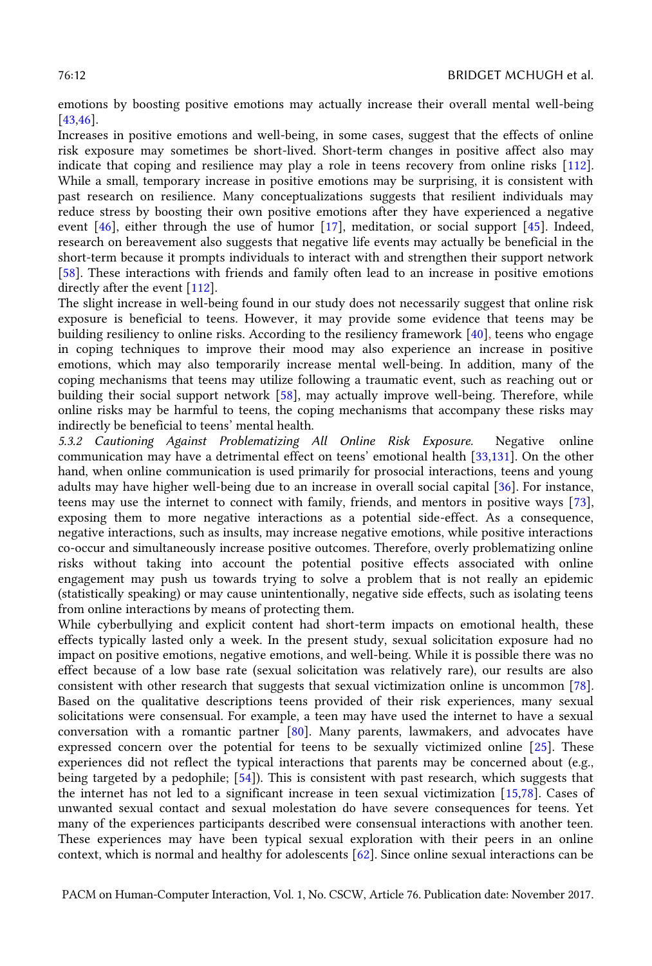emotions by boosting positive emotions may actually increase their overall mental well-being [\[43](#page-14-18)[,46\]](#page-14-23).

Increases in positive emotions and well-being, in some cases, suggest that the effects of online risk exposure may sometimes be short-lived. Short-term changes in positive affect also may indicate that coping and resilience may play a role in teens recovery from online risks [\[112\]](#page-17-17). While a small, temporary increase in positive emotions may be surprising, it is consistent with past research on resilience. Many conceptualizations suggests that resilient individuals may reduce stress by boosting their own positive emotions after they have experienced a negative event [\[46\]](#page-14-23), either through the use of humor [\[17\]](#page-13-19), meditation, or social support [\[45\]](#page-14-21). Indeed, research on bereavement also suggests that negative life events may actually be beneficial in the short-term because it prompts individuals to interact with and strengthen their support network [\[58\]](#page-15-23). These interactions with friends and family often lead to an increase in positive emotions directly after the event [\[112\]](#page-17-17).

The slight increase in well-being found in our study does not necessarily suggest that online risk exposure is beneficial to teens. However, it may provide some evidence that teens may be building resiliency to online risks. According to the resiliency framework [\[40\]](#page-14-2), teens who engage in coping techniques to improve their mood may also experience an increase in positive emotions, which may also temporarily increase mental well-being. In addition, many of the coping mechanisms that teens may utilize following a traumatic event, such as reaching out or building their social support network [\[58\]](#page-15-23), may actually improve well-being. Therefore, while online risks may be harmful to teens, the coping mechanisms that accompany these risks may indirectly be beneficial to teens' mental health.

*5.3.2 Cautioning Against Problematizing All Online Risk Exposure.* Negative online communication may have a detrimental effect on teens' emotional health [[33](#page-14-10)[,131\]](#page-18-2). On the other hand, when online communication is used primarily for prosocial interactions, teens and young adults may have higher well-being due to an increase in overall social capital [\[36\]](#page-14-24). For instance, teens may use the internet to connect with family, friends, and mentors in positive ways [\[73\]](#page-15-2), exposing them to more negative interactions as a potential side-effect. As a consequence, negative interactions, such as insults, may increase negative emotions, while positive interactions co-occur and simultaneously increase positive outcomes. Therefore, overly problematizing online risks without taking into account the potential positive effects associated with online engagement may push us towards trying to solve a problem that is not really an epidemic (statistically speaking) or may cause unintentionally, negative side effects, such as isolating teens from online interactions by means of protecting them.

While cyberbullying and explicit content had short-term impacts on emotional health, these effects typically lasted only a week. In the present study, sexual solicitation exposure had no impact on positive emotions, negative emotions, and well-being. While it is possible there was no effect because of a low base rate (sexual solicitation was relatively rare), our results are also consistent with other research that suggests that sexual victimization online is uncommon [\[78\]](#page-16-9). Based on the qualitative descriptions teens provided of their risk experiences, many sexual solicitations were consensual. For example, a teen may have used the internet to have a sexual conversation with a romantic partner [\[80\]](#page-16-13). Many parents, lawmakers, and advocates have expressed concern over the potential for teens to be sexually victimized online [\[25\]](#page-14-6). These experiences did not reflect the typical interactions that parents may be concerned about (e.g., being targeted by a pedophile; [\[54\]](#page-15-9)). This is consistent with past research, which suggests that the internet has not led to a significant increase in teen sexual victimization [\[15,](#page-13-6)[78\]](#page-16-9). Cases of unwanted sexual contact and sexual molestation do have severe consequences for teens. Yet many of the experiences participants described were consensual interactions with another teen. These experiences may have been typical sexual exploration with their peers in an online context, which is normal and healthy for adolescents [\[62\]](#page-15-24). Since online sexual interactions can be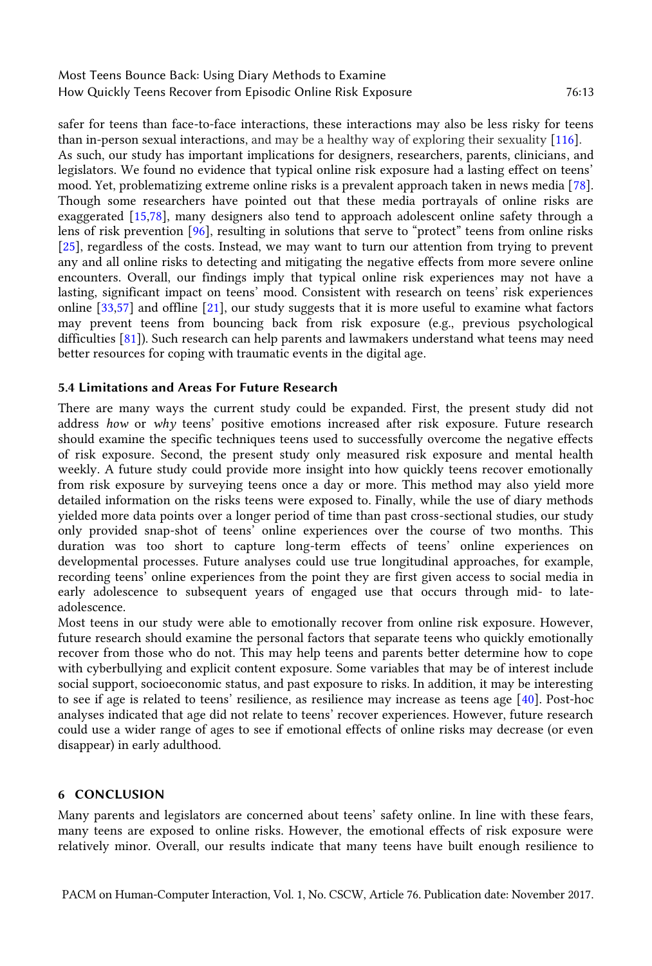safer for teens than face-to-face interactions, these interactions may also be less risky for teens than in-person sexual interactions, and may be a healthy way of exploring their sexuality [\[116\]](#page-17-23). As such, our study has important implications for designers, researchers, parents, clinicians, and legislators. We found no evidence that typical online risk exposure had a lasting effect on teens' mood. Yet, problematizing extreme online risks is a prevalent approach taken in news media [\[78\]](#page-16-9). Though some researchers have pointed out that these media portrayals of online risks are exaggerated [\[15,](#page-13-6)[78\]](#page-16-9), many designers also tend to approach adolescent online safety through a lens of risk prevention [\[96\]](#page-16-7), resulting in solutions that serve to "protect" teens from online risks [\[25\]](#page-14-6), regardless of the costs. Instead, we may want to turn our attention from trying to prevent any and all online risks to detecting and mitigating the negative effects from more severe online encounters. Overall, our findings imply that typical online risk experiences may not have a lasting, significant impact on teens' mood. Consistent with research on teens' risk experiences online [\[33,](#page-14-10)[57\]](#page-15-25) and offline [\[21\]](#page-13-20), our study suggests that it is more useful to examine what factors may prevent teens from bouncing back from risk exposure (e.g., previous psychological difficulties [\[81\]](#page-16-24)). Such research can help parents and lawmakers understand what teens may need better resources for coping with traumatic events in the digital age.

#### **5.4 Limitations and Areas For Future Research**

There are many ways the current study could be expanded. First, the present study did not address *how* or *why* teens' positive emotions increased after risk exposure. Future research should examine the specific techniques teens used to successfully overcome the negative effects of risk exposure. Second, the present study only measured risk exposure and mental health weekly. A future study could provide more insight into how quickly teens recover emotionally from risk exposure by surveying teens once a day or more. This method may also yield more detailed information on the risks teens were exposed to. Finally, while the use of diary methods yielded more data points over a longer period of time than past cross-sectional studies, our study only provided snap-shot of teens' online experiences over the course of two months. This duration was too short to capture long-term effects of teens' online experiences on developmental processes. Future analyses could use true longitudinal approaches, for example, recording teens' online experiences from the point they are first given access to social media in early adolescence to subsequent years of engaged use that occurs through mid- to lateadolescence.

Most teens in our study were able to emotionally recover from online risk exposure. However, future research should examine the personal factors that separate teens who quickly emotionally recover from those who do not. This may help teens and parents better determine how to cope with cyberbullying and explicit content exposure. Some variables that may be of interest include social support, socioeconomic status, and past exposure to risks. In addition, it may be interesting to see if age is related to teens' resilience, as resilience may increase as teens age [[40\]](#page-14-2). Post-hoc analyses indicated that age did not relate to teens' recover experiences. However, future research could use a wider range of ages to see if emotional effects of online risks may decrease (or even disappear) in early adulthood.

#### **6 CONCLUSION**

Many parents and legislators are concerned about teens' safety online. In line with these fears, many teens are exposed to online risks. However, the emotional effects of risk exposure were relatively minor. Overall, our results indicate that many teens have built enough resilience to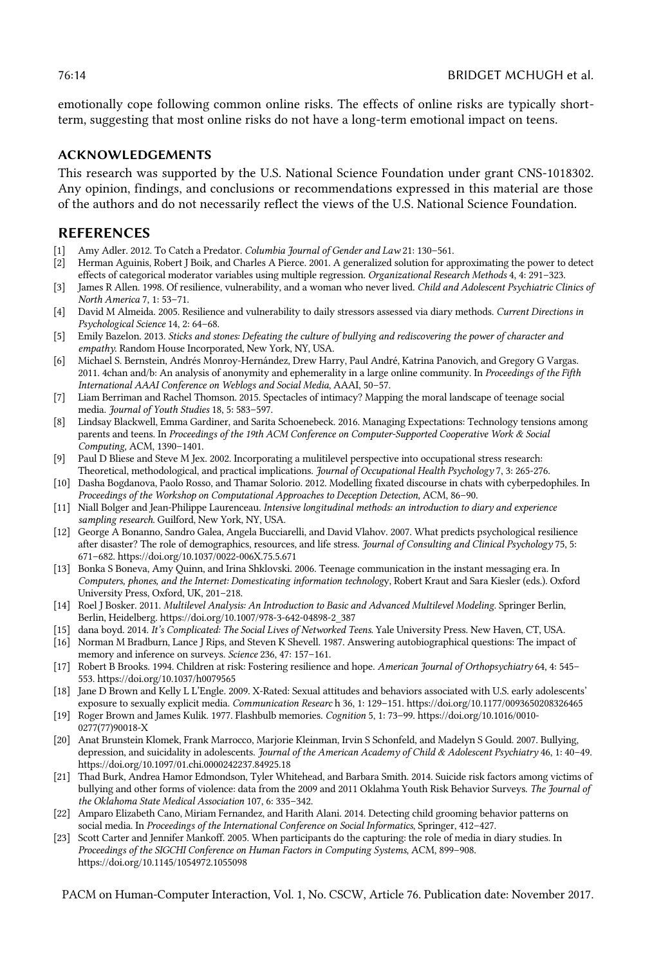emotionally cope following common online risks. The effects of online risks are typically shortterm, suggesting that most online risks do not have a long-term emotional impact on teens.

# **ACKNOWLEDGEMENTS**

This research was supported by the U.S. National Science Foundation under grant CNS-1018302. Any opinion, findings, and conclusions or recommendations expressed in this material are those of the authors and do not necessarily reflect the views of the U.S. National Science Foundation.

# **REFERENCES**

- [1] Amy Adler. 2012. To Catch a Predator. *Columbia Journal of Gender and Law* 21: 130–561.
- <span id="page-13-16"></span>[2] Herman Aguinis, Robert J Boik, and Charles A Pierce. 2001. A generalized solution for approximating the power to detect effects of categorical moderator variables using multiple regression. *Organizational Research Methods* 4, 4: 291–323.
- <span id="page-13-12"></span>[3] James R Allen. 1998. Of resilience, vulnerability, and a woman who never lived. *Child and Adolescent Psychiatric Clinics of North America* 7, 1: 53–71.
- <span id="page-13-13"></span>[4] David M Almeida. 2005. Resilience and vulnerability to daily stressors assessed via diary methods. *Current Directions in Psychological Science* 14, 2: 64–68.
- <span id="page-13-3"></span>[5] Emily Bazelon. 2013. *Sticks and stones: Defeating the culture of bullying and rediscovering the power of character and empathy*. Random House Incorporated, New York, NY, USA.
- <span id="page-13-8"></span>[6] Michael S. Bernstein, Andrés Monroy-Hernández, Drew Harry, Paul André, Katrina Panovich, and Gregory G Vargas. 2011. 4chan and/b: An analysis of anonymity and ephemerality in a large online community. In *Proceedings of the Fifth International AAAI Conference on Weblogs and Social Media*, AAAI, 50–57.
- <span id="page-13-9"></span>[7] Liam Berriman and Rachel Thomson. 2015. Spectacles of intimacy? Mapping the moral landscape of teenage social media. *Journal of Youth Studies* 18, 5: 583–597.
- <span id="page-13-0"></span>[8] Lindsay Blackwell, Emma Gardiner, and Sarita Schoenebeck. 2016. Managing Expectations: Technology tensions among parents and teens. In *Proceedings of the 19th ACM Conference on Computer-Supported Cooperative Work & Social Computing*, ACM, 1390–1401.
- <span id="page-13-15"></span>[9] Paul D Bliese and Steve M Jex. 2002. Incorporating a mulitilevel perspective into occupational stress research: Theoretical, methodological, and practical implications. *Journal of Occupational Health Psychology* 7, 3: 265-276.
- <span id="page-13-4"></span>[10] Dasha Bogdanova, Paolo Rosso, and Thamar Solorio. 2012. Modelling fixated discourse in chats with cyberpedophiles. In *Proceedings of the Workshop on Computational Approaches to Deception Detection*, ACM, 86–90.
- <span id="page-13-1"></span>[11] Niall Bolger and Jean-Philippe Laurenceau. *Intensive longitudinal methods: an introduction to diary and experience sampling research*. Guilford, New York, NY, USA.
- <span id="page-13-11"></span>[12] George A Bonanno, Sandro Galea, Angela Bucciarelli, and David Vlahov. 2007. What predicts psychological resilience after disaster? The role of demographics, resources, and life stress. *Journal of Consulting and Clinical Psychology* 75, 5: 671–682. https://doi.org/10.1037/0022-006X.75.5.671
- [13] Bonka S Boneva, Amy Quinn, and Irina Shklovski. 2006. Teenage communication in the instant messaging era. In *Computers, phones, and the Internet: Domesticating information technolog*y, Robert Kraut and Sara Kiesler (eds.). Oxford University Press, Oxford, UK, 201–218.
- <span id="page-13-14"></span>[14] Roel J Bosker. 2011. *Multilevel Analysis: An Introduction to Basic and Advanced Multilevel Modeling*. Springer Berlin, Berlin, Heidelberg. https://doi.org/10.1007/978-3-642-04898-2\_387
- <span id="page-13-6"></span>[15] dana boyd. 2014. *It's Complicated: The Social Lives of Networked Teens*. Yale University Press. New Haven, CT, USA.
- <span id="page-13-10"></span>[16] Norman M Bradburn, Lance J Rips, and Steven K Shevell. 1987. Answering autobiographical questions: The impact of memory and inference on surveys. *Science* 236, 47: 157–161.
- <span id="page-13-19"></span>[17] Robert B Brooks. 1994. Children at risk: Fostering resilience and hope. *American Journal of Orthopsychiatry* 64, 4: 545– 553. https://doi.org/10.1037/h0079565
- <span id="page-13-7"></span>[18] Jane D Brown and Kelly L L'Engle. 2009. X-Rated: Sexual attitudes and behaviors associated with U.S. early adolescents' exposure to sexually explicit media. *Communication Researc* h 36, 1: 129–151. https://doi.org/10.1177/0093650208326465
- <span id="page-13-17"></span>[19] Roger Brown and James Kulik. 1977. Flashbulb memories. *Cognition* 5, 1: 73–99. https://doi.org/10.1016/0010- 0277(77)90018-X
- <span id="page-13-18"></span>[20] Anat Brunstein Klomek, Frank Marrocco, Marjorie Kleinman, Irvin S Schonfeld, and Madelyn S Gould. 2007. Bullying, depression, and suicidality in adolescents. *Journal of the American Academy of Child & Adolescent Psychiatry* 46, 1: 40–49. https://doi.org/10.1097/01.chi.0000242237.84925.18
- <span id="page-13-20"></span>[21] Thad Burk, Andrea Hamor Edmondson, Tyler Whitehead, and Barbara Smith. 2014. Suicide risk factors among victims of bullying and other forms of violence: data from the 2009 and 2011 Oklahma Youth Risk Behavior Surveys. *The Journal of the Oklahoma State Medical Association* 107, 6: 335–342.
- <span id="page-13-5"></span>[22] Amparo Elizabeth Cano, Miriam Fernandez, and Harith Alani. 2014. Detecting child grooming behavior patterns on social media. In *Proceedings of the International Conference on Social Informatics*, Springer, 412–427.
- <span id="page-13-2"></span>[23] Scott Carter and Jennifer Mankoff. 2005. When participants do the capturing: the role of media in diary studies. In *Proceedings of the SIGCHI Conference on Human Factors in Computing Systems*, ACM, 899–908. https://doi.org/10.1145/1054972.1055098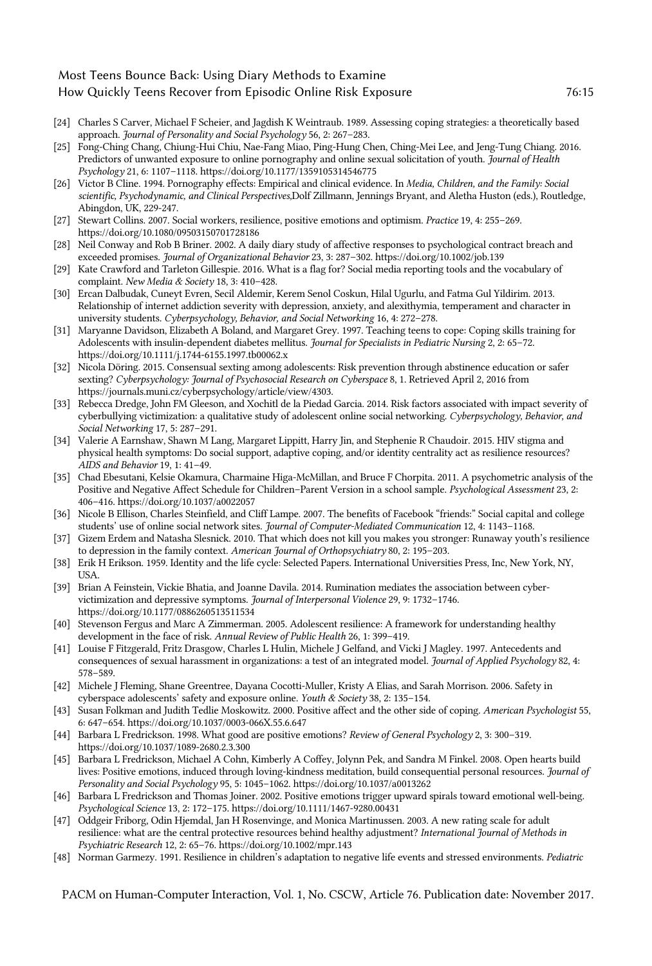- <span id="page-14-13"></span>[24] Charles S Carver, Michael F Scheier, and Jagdish K Weintraub. 1989. Assessing coping strategies: a theoretically based approach. *Journal of Personality and Social Psychology* 56, 2: 267–283.
- <span id="page-14-6"></span>[25] Fong-Ching Chang, Chiung-Hui Chiu, Nae-Fang Miao, Ping-Hung Chen, Ching-Mei Lee, and Jeng-Tung Chiang. 2016. Predictors of unwanted exposure to online pornography and online sexual solicitation of youth. *Journal of Health Psychology* 21, 6: 1107–1118. https://doi.org/10.1177/1359105314546775
- <span id="page-14-4"></span>[26] Victor B Cline. 1994. Pornography effects: Empirical and clinical evidence. In *Media, Children, and the Family: Social scientific, Psychodynamic, and Clinical Perspectives,*Dolf Zillmann, Jennings Bryant, and Aletha Huston (eds.), Routledge, Abingdon, UK, 229-247.
- <span id="page-14-20"></span>[27] Stewart Collins. 2007. Social workers, resilience, positive emotions and optimism. *Practice* 19, 4: 255–269. https://doi.org/10.1080/09503150701728186
- <span id="page-14-22"></span>[28] Neil Conway and Rob B Briner. 2002. A daily diary study of affective responses to psychological contract breach and exceeded promises. *Journal of Organizational Behavior* 23, 3: 287–302. https://doi.org/10.1002/job.139
- <span id="page-14-8"></span>[29] Kate Crawford and Tarleton Gillespie. 2016. What is a flag for? Social media reporting tools and the vocabulary of complaint. *New Media & Society* 18, 3: 410–428.
- <span id="page-14-9"></span>[30] Ercan Dalbudak, Cuneyt Evren, Secil Aldemir, Kerem Senol Coskun, Hilal Ugurlu, and Fatma Gul Yildirim. 2013. Relationship of internet addiction severity with depression, anxiety, and alexithymia, temperament and character in university students. *Cyberpsychology, Behavior, and Social Networking* 16, 4: 272–278.
- <span id="page-14-17"></span>[31] Maryanne Davidson, Elizabeth A Boland, and Margaret Grey. 1997. Teaching teens to cope: Coping skills training for Adolescents with insulin-dependent diabetes mellitus. *Journal for Specialists in Pediatric Nursing* 2, 2: 65–72. https://doi.org/10.1111/j.1744-6155.1997.tb00062.x
- <span id="page-14-7"></span>[32] Nicola Döring. 2015. Consensual sexting among adolescents: Risk prevention through abstinence education or safer sexting? *Cyberpsychology: Journal of Psychosocial Research on Cyberspace* 8, 1. Retrieved April 2, 2016 from https://journals.muni.cz/cyberpsychology/article/view/4303.
- <span id="page-14-10"></span>[33] Rebecca Dredge, John FM Gleeson, and Xochitl de la Piedad Garcia. 2014. Risk factors associated with impact severity of cyberbullying victimization: a qualitative study of adolescent online social networking. *Cyberpsychology, Behavior, and Social Networking* 17, 5: 287–291.
- <span id="page-14-15"></span>[34] Valerie A Earnshaw, Shawn M Lang, Margaret Lippitt, Harry Jin, and Stephenie R Chaudoir. 2015. HIV stigma and physical health symptoms: Do social support, adaptive coping, and/or identity centrality act as resilience resources? *AIDS and Behavior* 19, 1: 41–49.
- <span id="page-14-1"></span>[35] Chad Ebesutani, Kelsie Okamura, Charmaine Higa-McMillan, and Bruce F Chorpita. 2011. A psychometric analysis of the Positive and Negative Affect Schedule for Children–Parent Version in a school sample. *Psychological Assessment* 23, 2: 406–416. https://doi.org/10.1037/a0022057
- <span id="page-14-24"></span>[36] Nicole B Ellison, Charles Steinfield, and Cliff Lampe. 2007. The benefits of Facebook "friends:" Social capital and college students' use of online social network sites. *Journal of Computer‐Mediated Communication* 12, 4: 1143–1168.
- <span id="page-14-14"></span>[37] Gizem Erdem and Natasha Slesnick. 2010. That which does not kill you makes you stronger: Runaway youth's resilience to depression in the family context. *American Journal of Orthopsychiatry* 80, 2: 195–203.
- <span id="page-14-11"></span>[38] Erik H Erikson. 1959. Identity and the life cycle: Selected Papers. International Universities Press, Inc, New York, NY, USA.
- <span id="page-14-5"></span>[39] Brian A Feinstein, Vickie Bhatia, and Joanne Davila. 2014. Rumination mediates the association between cybervictimization and depressive symptoms. *Journal of Interpersonal Violence* 29, 9: 1732–1746. https://doi.org/10.1177/0886260513511534
- <span id="page-14-2"></span>[40] Stevenson Fergus and Marc A Zimmerman. 2005. Adolescent resilience: A framework for understanding healthy development in the face of risk. *Annual Review of Public Health* 26, 1: 399–419.
- <span id="page-14-12"></span>[41] Louise F Fitzgerald, Fritz Drasgow, Charles L Hulin, Michele J Gelfand, and Vicki J Magley. 1997. Antecedents and consequences of sexual harassment in organizations: a test of an integrated model. *Journal of Applied Psychology* 82, 4: 578–589.
- <span id="page-14-0"></span>[42] Michele J Fleming, Shane Greentree, Dayana Cocotti-Muller, Kristy A Elias, and Sarah Morrison. 2006. Safety in cyberspace adolescents' safety and exposure online. *Youth & Society* 38, 2: 135–154.
- <span id="page-14-18"></span>[43] Susan Folkman and Judith Tedlie Moskowitz. 2000. Positive affect and the other side of coping. *American Psychologist* 55, 6: 647–654. https://doi.org/10.1037/0003-066X.55.6.647
- <span id="page-14-19"></span>[44] Barbara L Fredrickson. 1998. What good are positive emotions? *Review of General Psychology* 2, 3: 300–319. https://doi.org/10.1037/1089-2680.2.3.300
- <span id="page-14-21"></span>[45] Barbara L Fredrickson, Michael A Cohn, Kimberly A Coffey, Jolynn Pek, and Sandra M Finkel. 2008. Open hearts build lives: Positive emotions, induced through loving-kindness meditation, build consequential personal resources. *Journal of Personality and Social Psychology* 95, 5: 1045–1062. https://doi.org/10.1037/a0013262
- <span id="page-14-23"></span>[46] Barbara L Fredrickson and Thomas Joiner. 2002. Positive emotions trigger upward spirals toward emotional well-being. *Psychological Science* 13, 2: 172–175. https://doi.org/10.1111/1467-9280.00431
- <span id="page-14-16"></span>[47] Oddgeir Friborg, Odin Hjemdal, Jan H Rosenvinge, and Monica Martinussen. 2003. A new rating scale for adult resilience: what are the central protective resources behind healthy adjustment? *International Journal of Methods in Psychiatric Research* 12, 2: 65–76. https://doi.org/10.1002/mpr.143
- <span id="page-14-3"></span>[48] Norman Garmezy. 1991. Resilience in children's adaptation to negative life events and stressed environments. *Pediatric*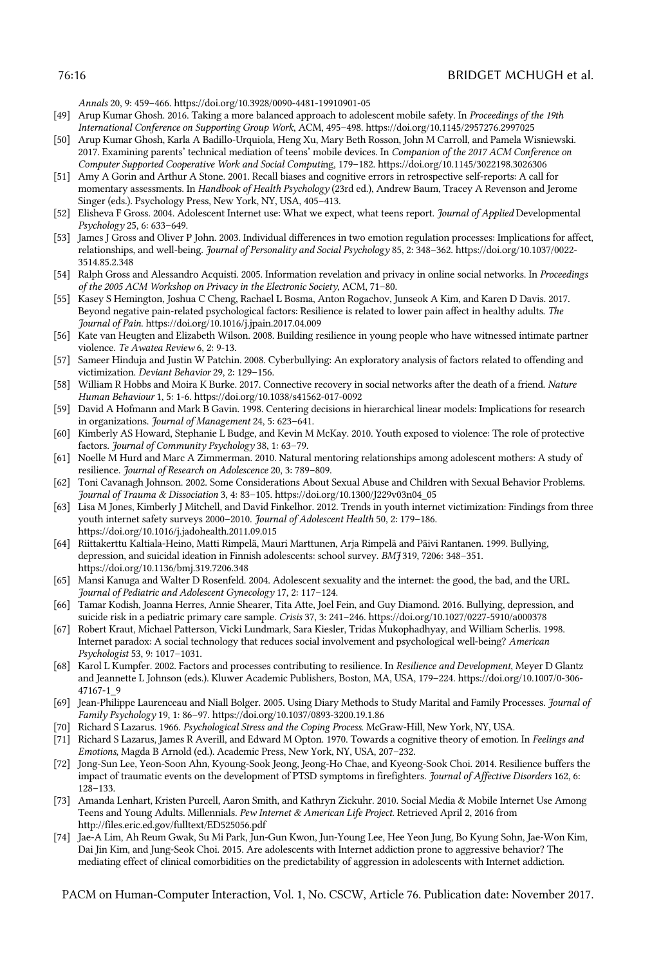#### 76:16 BRIDGET MCHUGH et al.

*Annals* 20, 9: 459–466. https://doi.org/10.3928/0090-4481-19910901-05

- <span id="page-15-3"></span>[49] Arup Kumar Ghosh. 2016. Taking a more balanced approach to adolescent mobile safety. In *Proceedings of the 19th International Conference on Supporting Group Work*, ACM, 495–498. https://doi.org/10.1145/2957276.2997025
- <span id="page-15-4"></span>[50] Arup Kumar Ghosh, Karla A Badillo-Urquiola, Heng Xu, Mary Beth Rosson, John M Carroll, and Pamela Wisniewski. 2017. Examining parents' technical mediation of teens' mobile devices. In *Companion of the 2017 ACM Conference on Computer Supported Cooperative Work and Social Computi*ng, 179–182. https://doi.org/10.1145/3022198.3026306
- <span id="page-15-1"></span>[51] Amy A Gorin and Arthur A Stone. 2001. Recall biases and cognitive errors in retrospective self-reports: A call for momentary assessments. In *Handbook of Health Psychology* (23rd ed.), Andrew Baum, Tracey A Revenson and Jerome Singer (eds.). Psychology Press, New York, NY, USA, 405–413.
- <span id="page-15-10"></span>[52] Elisheva F Gross. 2004. Adolescent Internet use: What we expect, what teens report. *Journal of Applied* Developmental *Psychology* 25, 6: 633–649.
- <span id="page-15-19"></span>[53] James J Gross and Oliver P John. 2003. Individual differences in two emotion regulation processes: Implications for affect, relationships, and well-being. *Journal of Personality and Social Psychology* 85, 2: 348–362. https://doi.org/10.1037/0022- 3514.85.2.348
- <span id="page-15-9"></span>[54] Ralph Gross and Alessandro Acquisti. 2005. Information revelation and privacy in online social networks. In *Proceedings of the 2005 ACM Workshop on Privacy in the Electronic Society*, ACM, 71–80.
- <span id="page-15-15"></span>[55] Kasey S Hemington, Joshua C Cheng, Rachael L Bosma, Anton Rogachov, Junseok A Kim, and Karen D Davis. 2017. Beyond negative pain-related psychological factors: Resilience is related to lower pain affect in healthy adults. *The Journal of Pain*. https://doi.org/10.1016/j.jpain.2017.04.009
- <span id="page-15-16"></span>[56] Kate van Heugten and Elizabeth Wilson. 2008. Building resilience in young people who have witnessed intimate partner violence. *Te Awatea Review* 6, 2: 9-13*.*
- <span id="page-15-25"></span>[57] Sameer Hinduja and Justin W Patchin. 2008. Cyberbullying: An exploratory analysis of factors related to offending and victimization. *Deviant Behavior* 29, 2: 129–156.
- <span id="page-15-23"></span>[58] William R Hobbs and Moira K Burke. 2017. Connective recovery in social networks after the death of a friend. *Nature Human Behaviour* 1, 5: 1-6. https://doi.org/10.1038/s41562-017-0092
- <span id="page-15-20"></span>[59] David A Hofmann and Mark B Gavin. 1998. Centering decisions in hierarchical linear models: Implications for research in organizations. *Journal of Management* 24, 5: 623–641.
- <span id="page-15-11"></span>[60] Kimberly AS Howard, Stephanie L Budge, and Kevin M McKay. 2010. Youth exposed to violence: The role of protective factors. *Journal of Community Psychology* 38, 1: 63–79.
- <span id="page-15-18"></span>[61] Noelle M Hurd and Marc A Zimmerman. 2010. Natural mentoring relationships among adolescent mothers: A study of resilience. *Journal of Research on Adolescence* 20, 3: 789–809.
- <span id="page-15-24"></span>[62] Toni Cavanagh Johnson. 2002. Some Considerations About Sexual Abuse and Children with Sexual Behavior Problems. *Journal of Trauma & Dissociation* 3, 4: 83–105. https://doi.org/10.1300/J229v03n04\_05
- <span id="page-15-6"></span>[63] Lisa M Jones, Kimberly J Mitchell, and David Finkelhor. 2012. Trends in youth internet victimization: Findings from three youth internet safety surveys 2000–2010. *Journal of Adolescent Health* 50, 2: 179–186. https://doi.org/10.1016/j.jadohealth.2011.09.015
- <span id="page-15-21"></span>[64] Riittakerttu Kaltiala-Heino, Matti Rimpelä, Mauri Marttunen, Arja Rimpelä and Päivi Rantanen. 1999. Bullying, depression, and suicidal ideation in Finnish adolescents: school survey. *BMJ* 319, 7206: 348–351. https://doi.org/10.1136/bmj.319.7206.348
- <span id="page-15-0"></span>[65] Mansi Kanuga and Walter D Rosenfeld. 2004. Adolescent sexuality and the internet: the good, the bad, and the URL. *Journal of Pediatric and Adolescent Gynecology* 17, 2: 117–124.
- <span id="page-15-5"></span>[66] Tamar Kodish, Joanna Herres, Annie Shearer, Tita Atte, Joel Fein, and Guy Diamond. 2016. Bullying, depression, and suicide risk in a pediatric primary care sample. *Crisis* 37, 3: 241–246. https://doi.org/10.1027/0227-5910/a000378
- <span id="page-15-7"></span>[67] Robert Kraut, Michael Patterson, Vicki Lundmark, Sara Kiesler, Tridas Mukophadhyay, and William Scherlis. 1998. Internet paradox: A social technology that reduces social involvement and psychological well-being? *American Psychologist* 53, 9: 1017–1031.
- <span id="page-15-12"></span>[68] Karol L Kumpfer. 2002. Factors and processes contributing to resilience. In *Resilience and Development*, Meyer D Glantz and Jeannette L Johnson (eds.). Kluwer Academic Publishers, Boston, MA, USA, 179–224. https://doi.org/10.1007/0-306- 47167-1\_9
- <span id="page-15-22"></span>[69] Jean-Philippe Laurenceau and Niall Bolger. 2005. Using Diary Methods to Study Marital and Family Processes. *Journal of Family Psychology* 19, 1: 86–97. https://doi.org/10.1037/0893-3200.19.1.86
- <span id="page-15-14"></span>[70] Richard S Lazarus. 1966. *Psychological Stress and the Coping Process*. McGraw-Hill, New York, NY, USA.
- <span id="page-15-13"></span>[71] Richard S Lazarus, James R Averill, and Edward M Opton. 1970. Towards a cognitive theory of emotion. In *Feelings and Emotions*, Magda B Arnold (ed.). Academic Press, New York, NY, USA, 207–232.
- <span id="page-15-17"></span>[72] Jong-Sun Lee, Yeon-Soon Ahn, Kyoung-Sook Jeong, Jeong-Ho Chae, and Kyeong-Sook Choi. 2014. Resilience buffers the impact of traumatic events on the development of PTSD symptoms in firefighters. *Journal of Affective Disorders* 162, 6: 128–133.
- <span id="page-15-2"></span>[73] Amanda Lenhart, Kristen Purcell, Aaron Smith, and Kathryn Zickuhr. 2010. Social Media & Mobile Internet Use Among Teens and Young Adults. Millennials. *Pew Internet & American Life Project*. Retrieved April 2, 2016 from http://files.eric.ed.gov/fulltext/ED525056.pdf
- <span id="page-15-8"></span>[74] Jae-A Lim, Ah Reum Gwak, Su Mi Park, Jun-Gun Kwon, Jun-Young Lee, Hee Yeon Jung, Bo Kyung Sohn, Jae-Won Kim, Dai Jin Kim, and Jung-Seok Choi. 2015. Are adolescents with Internet addiction prone to aggressive behavior? The mediating effect of clinical comorbidities on the predictability of aggression in adolescents with Internet addiction.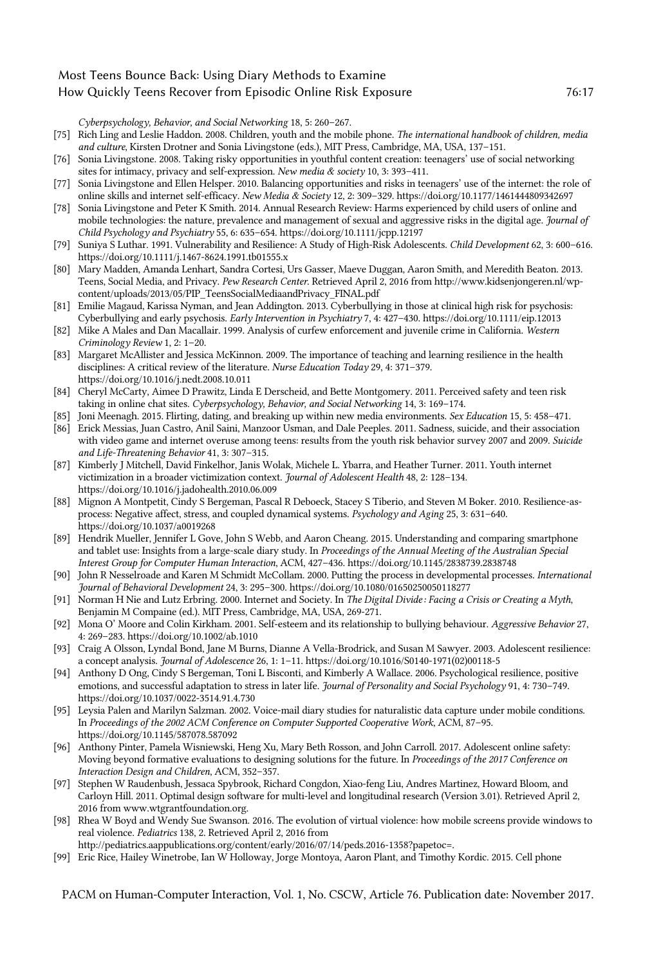*Cyberpsychology, Behavior, and Social Networking* 18, 5: 260–267.

- <span id="page-16-23"></span>[75] Rich Ling and Leslie Haddon. 2008. Children, youth and the mobile phone. *The international handbook of children, media and culture*, Kirsten Drotner and Sonia Livingstone (eds.), MIT Press, Cambridge, MA, USA, 137–151.
- <span id="page-16-11"></span>[76] Sonia Livingstone. 2008. Taking risky opportunities in youthful content creation: teenagers' use of social networking sites for intimacy, privacy and self-expression. *New media & society* 10, 3: 393–411.
- <span id="page-16-12"></span>[77] Sonia Livingstone and Ellen Helsper. 2010. Balancing opportunities and risks in teenagers' use of the internet: the role of online skills and internet self-efficacy. *New Media & Society* 12, 2: 309–329. https://doi.org/10.1177/1461444809342697
- <span id="page-16-9"></span>[78] Sonia Livingstone and Peter K Smith. 2014. Annual Research Review: Harms experienced by child users of online and mobile technologies: the nature, prevalence and management of sexual and aggressive risks in the digital age. *Journal of Child Psychology and Psychiatry* 55, 6: 635–654. https://doi.org/10.1111/jcpp.12197
- <span id="page-16-18"></span>[79] Suniya S Luthar. 1991. Vulnerability and Resilience: A Study of High-Risk Adolescents. *Child Development* 62, 3: 600–616. https://doi.org/10.1111/j.1467-8624.1991.tb01555.x
- <span id="page-16-13"></span>[80] Mary Madden, Amanda Lenhart, Sandra Cortesi, Urs Gasser, Maeve Duggan, Aaron Smith, and Meredith Beaton. 2013. Teens, Social Media, and Privacy. *Pew Research Center*. Retrieved April 2, 2016 from http://www.kidsenjongeren.nl/wpcontent/uploads/2013/05/PIP\_TeensSocialMediaandPrivacy\_FINAL.pdf
- <span id="page-16-24"></span>[81] Emilie Magaud, Karissa Nyman, and Jean Addington. 2013. Cyberbullying in those at clinical high risk for psychosis: Cyberbullying and early psychosis. *Early Intervention in Psychiatry* 7, 4: 427–430. https://doi.org/10.1111/eip.12013
- <span id="page-16-10"></span>[82] Mike A Males and Dan Macallair. 1999. Analysis of curfew enforcement and juvenile crime in California. *Western Criminology Review* 1, 2: 1–20.
- <span id="page-16-16"></span>[83] Margaret McAllister and Jessica McKinnon. 2009. The importance of teaching and learning resilience in the health disciplines: A critical review of the literature. *Nurse Education Today* 29, 4: 371–379. https://doi.org/10.1016/j.nedt.2008.10.011
- <span id="page-16-2"></span>[84] Cheryl McCarty, Aimee D Prawitz, Linda E Derscheid, and Bette Montgomery. 2011. Perceived safety and teen risk taking in online chat sites. *Cyberpsychology, Behavior, and Social Networking* 14, 3: 169–174.
- <span id="page-16-8"></span>[85] Joni Meenagh. 2015. Flirting, dating, and breaking up within new media environments. *Sex Education* 15, 5: 458–471.
- <span id="page-16-3"></span>[86] Erick Messias, Juan Castro, Anil Saini, Manzoor Usman, and Dale Peeples. 2011. Sadness, suicide, and their association with video game and internet overuse among teens: results from the youth risk behavior survey 2007 and 2009. *Suicide and Life-Threatening Behavior* 41, 3: 307–315.
- <span id="page-16-4"></span>[87] Kimberly J Mitchell, David Finkelhor, Janis Wolak, Michele L. Ybarra, and Heather Turner. 2011. Youth internet victimization in a broader victimization context. *Journal of Adolescent Health* 48, 2: 128–134. https://doi.org/10.1016/j.jadohealth.2010.06.009
- <span id="page-16-6"></span>[88] Mignon A Montpetit, Cindy S Bergeman, Pascal R Deboeck, Stacey S Tiberio, and Steven M Boker. 2010. Resilience-asprocess: Negative affect, stress, and coupled dynamical systems. *Psychology and Aging* 25, 3: 631–640. https://doi.org/10.1037/a0019268
- <span id="page-16-19"></span>[89] Hendrik Mueller, Jennifer L Gove, John S Webb, and Aaron Cheang. 2015. Understanding and comparing smartphone and tablet use: Insights from a large-scale diary study. In *Proceedings of the Annual Meeting of the Australian Special Interest Group for Computer Human Interaction*, ACM, 427–436. https://doi.org/10.1145/2838739.2838748
- <span id="page-16-15"></span>[90] John R Nesselroade and Karen M Schmidt McCollam. 2000. Putting the process in developmental processes. *International Journal of Behavioral Development* 24, 3: 295–300. https://doi.org/10.1080/01650250050118277
- <span id="page-16-5"></span>[91] Norman H Nie and Lutz Erbring. 2000. Internet and Society. In *The Digital Divide : Facing a Crisis or Creating a Myth*, Benjamin M Compaine (ed.). MIT Press, Cambridge, MA, USA, 269-271.
- <span id="page-16-22"></span>[92] Mona O' Moore and Colin Kirkham. 2001. Self-esteem and its relationship to bullying behaviour. *Aggressive Behavior* 27, 4: 269–283. https://doi.org/10.1002/ab.1010
- <span id="page-16-17"></span>[93] Craig A Olsson, Lyndal Bond, Jane M Burns, Dianne A Vella-Brodrick, and Susan M Sawyer. 2003. Adolescent resilience: a concept analysis. *Journal of Adolescence* 26, 1: 1–11. https://doi.org/10.1016/S0140-1971(02)00118-5
- <span id="page-16-14"></span>[94] Anthony D Ong, Cindy S Bergeman, Toni L Bisconti, and Kimberly A Wallace. 2006. Psychological resilience, positive emotions, and successful adaptation to stress in later life. *Journal of Personality and Social Psychology* 91, 4: 730–749. https://doi.org/10.1037/0022-3514.91.4.730
- <span id="page-16-20"></span>[95] Leysia Palen and Marilyn Salzman. 2002. Voice-mail diary studies for naturalistic data capture under mobile conditions. In *Proceedings of the 2002 ACM Conference on Computer Supported Cooperative Work*, ACM, 87–95. https://doi.org/10.1145/587078.587092
- <span id="page-16-7"></span>[96] Anthony Pinter, Pamela Wisniewski, Heng Xu, Mary Beth Rosson, and John Carroll. 2017. Adolescent online safety: Moving beyond formative evaluations to designing solutions for the future. In *Proceedings of the 2017 Conference on Interaction Design and Children*, ACM, 352–357.
- <span id="page-16-21"></span>[97] Stephen W Raudenbush, Jessaca Spybrook, Richard Congdon, Xiao-feng Liu, Andres Martinez, Howard Bloom, and Carloyn Hill. 2011. Optimal design software for multi-level and longitudinal research (Version 3.01). Retrieved April 2, 2016 from www.wtgrantfoundation.org.
- <span id="page-16-1"></span>[98] Rhea W Boyd and Wendy Sue Swanson. 2016. The evolution of virtual violence: how mobile screens provide windows to real violence. *Pediatrics* 138, 2. Retrieved April 2, 2016 from
	- http://pediatrics.aappublications.org/content/early/2016/07/14/peds.2016-1358?papetoc=.
- <span id="page-16-0"></span>[99] Eric Rice, Hailey Winetrobe, Ian W Holloway, Jorge Montoya, Aaron Plant, and Timothy Kordic. 2015. Cell phone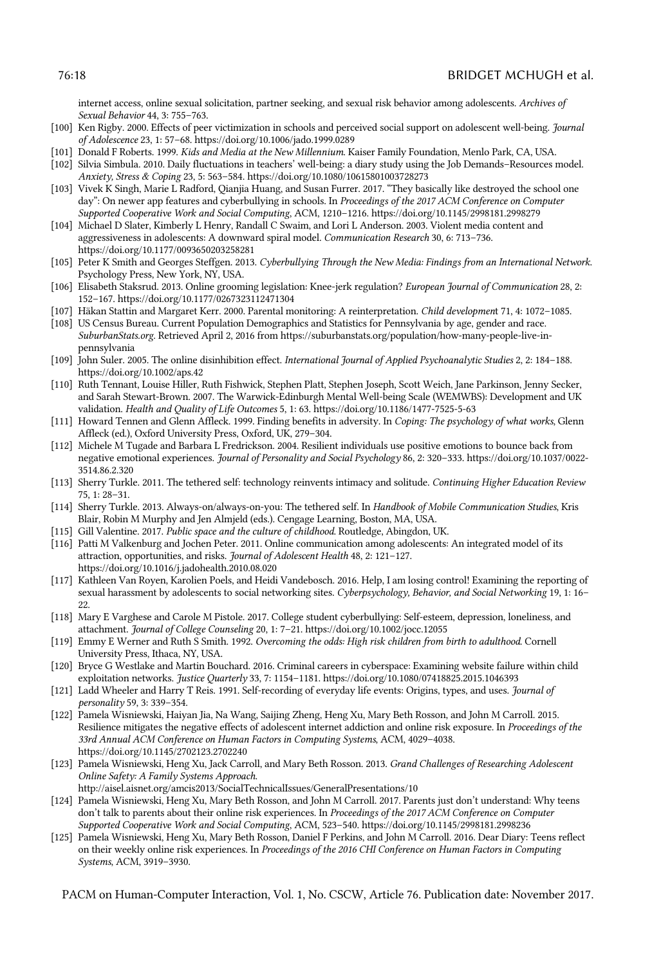internet access, online sexual solicitation, partner seeking, and sexual risk behavior among adolescents. *Archives of Sexual Behavior* 44, 3: 755–763.

- <span id="page-17-21"></span>[100] Ken Rigby. 2000. Effects of peer victimization in schools and perceived social support on adolescent well-being. *Journal of Adolescence* 23, 1: 57–68. https://doi.org/10.1006/jado.1999.0289
- <span id="page-17-0"></span>[101] Donald F Roberts. 1999. *Kids and Media at the New Millennium*. Kaiser Family Foundation, Menlo Park, CA, USA.
- <span id="page-17-18"></span>[102] Silvia Simbula. 2010. Daily fluctuations in teachers' well-being: a diary study using the Job Demands–Resources model. *Anxiety, Stress & Coping* 23, 5: 563–584. https://doi.org/10.1080/10615801003728273
- <span id="page-17-2"></span>[103] Vivek K Singh, Marie L Radford, Qianjia Huang, and Susan Furrer. 2017. "They basically like destroyed the school one day": On newer app features and cyberbullying in schools. In *Proceedings of the 2017 ACM Conference on Computer Supported Cooperative Work and Social Computing*, ACM, 1210–1216. https://doi.org/10.1145/2998181.2998279
- <span id="page-17-22"></span>[104] Michael D Slater, Kimberly L Henry, Randall C Swaim, and Lori L Anderson. 2003. Violent media content and aggressiveness in adolescents: A downward spiral model. *Communication Research* 30, 6: 713–736. https://doi.org/10.1177/0093650203258281
- <span id="page-17-8"></span>[105] Peter K Smith and Georges Steffgen. 2013. *Cyberbullying Through the New Media: Findings from an International Network*. Psychology Press, New York, NY, USA.
- <span id="page-17-11"></span>[106] Elisabeth Staksrud. 2013. Online grooming legislation: Knee-jerk regulation? *European Journal of Communication* 28, 2: 152–167. https://doi.org/10.1177/0267323112471304
- <span id="page-17-14"></span>[107] Häkan Stattin and Margaret Kerr. 2000. Parental monitoring: A reinterpretation. *Child developmen*t 71, 4: 1072–1085.
- <span id="page-17-19"></span>[108] US Census Bureau. Current Population Demographics and Statistics for Pennsylvania by age, gender and race. *SuburbanStats.org*. Retrieved April 2, 2016 from https://suburbanstats.org/population/how-many-people-live-inpennsylvania
- <span id="page-17-3"></span>[109] John Suler. 2005. The online disinhibition effect. *International Journal of Applied Psychoanalytic Studies* 2, 2: 184–188. https://doi.org/10.1002/aps.42
- <span id="page-17-5"></span>[110] Ruth Tennant, Louise Hiller, Ruth Fishwick, Stephen Platt, Stephen Joseph, Scott Weich, Jane Parkinson, Jenny Secker, and Sarah Stewart-Brown. 2007. The Warwick-Edinburgh Mental Well-being Scale (WEMWBS): Development and UK validation. *Health and Quality of Life Outcomes* 5, 1: 63. https://doi.org/10.1186/1477-7525-5-63
- <span id="page-17-16"></span>[111] Howard Tennen and Glenn Affleck. 1999. Finding benefits in adversity. In *Coping: The psychology of what works*, Glenn Affleck (ed.), Oxford University Press, Oxford, UK, 279–304.
- <span id="page-17-17"></span>[112] Michele M Tugade and Barbara L Fredrickson. 2004. Resilient individuals use positive emotions to bounce back from negative emotional experiences. *Journal of Personality and Social Psychology* 86, 2: 320–333. https://doi.org/10.1037/0022- 3514.86.2.320
- <span id="page-17-1"></span>[113] Sherry Turkle. 2011. The tethered self: technology reinvents intimacy and solitude. *Continuing Higher Education Review* 75, 1: 28–31.
- [114] Sherry Turkle. 2013. Always-on/always-on-you: The tethered self. In *Handbook of Mobile Communication Studies*, Kris Blair, Robin M Murphy and Jen Almjeld (eds.). Cengage Learning, Boston, MA, USA.
- [115] Gill Valentine. 2017. *Public space and the culture of childhood*. Routledge, Abingdon, UK.
- <span id="page-17-23"></span>[116] Patti M Valkenburg and Jochen Peter. 2011. Online communication among adolescents: An integrated model of its attraction, opportunities, and risks. *Journal of Adolescent Health* 48, 2: 121–127. https://doi.org/10.1016/j.jadohealth.2010.08.020
- <span id="page-17-13"></span>[117] Kathleen Van Royen, Karolien Poels, and Heidi Vandebosch. 2016. Help, I am losing control! Examining the reporting of sexual harassment by adolescents to social networking sites. *Cyberpsychology, Behavior, and Social Networking* 19, 1: 16– 22.
- <span id="page-17-10"></span>[118] Mary E Varghese and Carole M Pistole. 2017. College student cyberbullying: Self-esteem, depression, loneliness, and attachment. *Journal of College Counseling* 20, 1: 7–21. https://doi.org/10.1002/jocc.12055
- <span id="page-17-15"></span>[119] Emmy E Werner and Ruth S Smith. 1992. *Overcoming the odds: High risk children from birth to adulthood*. Cornell University Press, Ithaca, NY, USA.
- <span id="page-17-12"></span>[120] Bryce G Westlake and Martin Bouchard. 2016. Criminal careers in cyberspace: Examining website failure within child exploitation networks. *Justice Quarterly* 33, 7: 1154–1181. https://doi.org/10.1080/07418825.2015.1046393
- <span id="page-17-4"></span>[121] Ladd Wheeler and Harry T Reis. 1991. Self‐recording of everyday life events: Origins, types, and uses. *Journal of personality* 59, 3: 339–354.
- <span id="page-17-6"></span>[122] Pamela Wisniewski, Haiyan Jia, Na Wang, Saijing Zheng, Heng Xu, Mary Beth Rosson, and John M Carroll. 2015. Resilience mitigates the negative effects of adolescent internet addiction and online risk exposure. In *Proceedings of the 33rd Annual ACM Conference on Human Factors in Computing Systems*, ACM, 4029–4038. https://doi.org/10.1145/2702123.2702240
- <span id="page-17-20"></span>[123] Pamela Wisniewski, Heng Xu, Jack Carroll, and Mary Beth Rosson. 2013. *Grand Challenges of Researching Adolescent Online Safety: A Family Systems Approach*.
- http://aisel.aisnet.org/amcis2013/SocialTechnicalIssues/GeneralPresentations/10
- <span id="page-17-9"></span>[124] Pamela Wisniewski, Heng Xu, Mary Beth Rosson, and John M Carroll. 2017. Parents just don't understand: Why teens don't talk to parents about their online risk experiences. In *Proceedings of the 2017 ACM Conference on Computer Supported Cooperative Work and Social Computing*, ACM, 523–540. https://doi.org/10.1145/2998181.2998236
- <span id="page-17-7"></span>[125] Pamela Wisniewski, Heng Xu, Mary Beth Rosson, Daniel F Perkins, and John M Carroll. 2016. Dear Diary: Teens reflect on their weekly online risk experiences. In *Proceedings of the 2016 CHI Conference on Human Factors in Computing Systems*, ACM, 3919–3930.